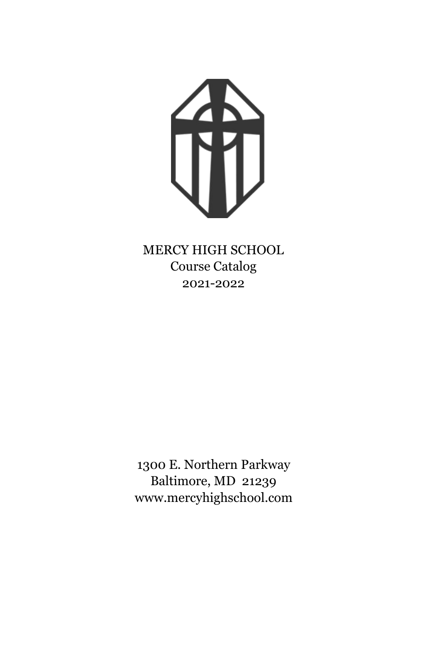

MERCY HIGH SCHOOL Course Catalog 2021-2022

1300 E. Northern Parkway Baltimore, MD 21239 www.mercyhighschool.com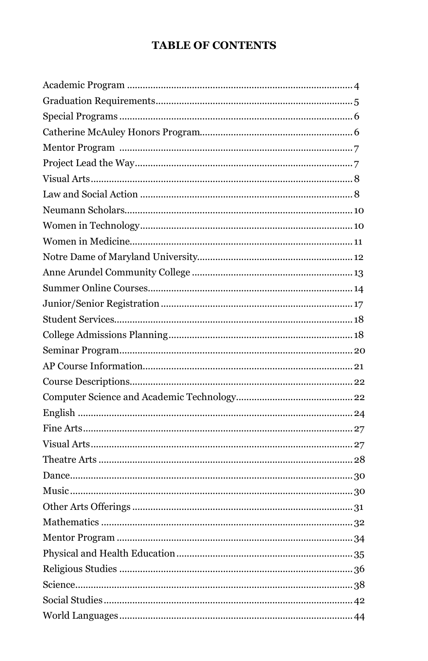## **TABLE OF CONTENTS**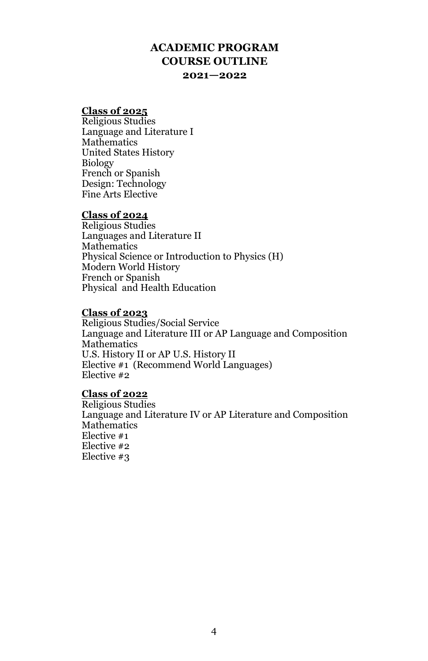### **ACADEMIC PROGRAM COURSE OUTLINE 2021—2022**

#### **Class of 2025**

Religious Studies Language and Literature I Mathematics United States History Biology French or Spanish Design: Technology Fine Arts Elective

#### **Class of 2024**

Religious Studies Languages and Literature II Mathematics Physical Science or Introduction to Physics (H) Modern World History French or Spanish Physical and Health Education

#### **Class of 2023**

Religious Studies/Social Service Language and Literature III or AP Language and Composition Mathematics U.S. History II or AP U.S. History II Elective #1 (Recommend World Languages) Elective #2

#### **Class of 2022**

Religious Studies Language and Literature IV or AP Literature and Composition **Mathematics** Elective #1 Elective #2 Elective #3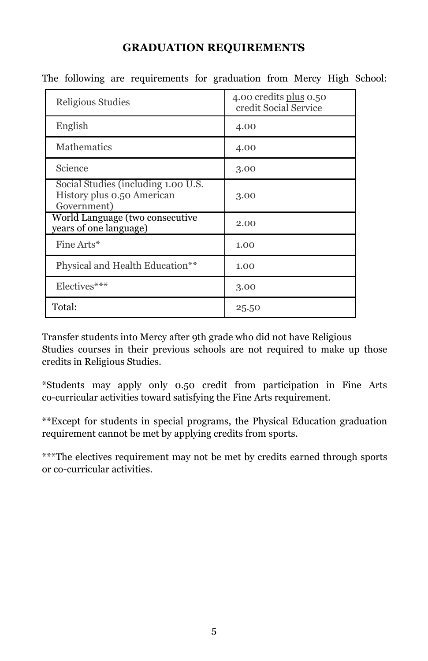### **GRADUATION REQUIREMENTS**

| Religious Studies                                                                | 4.00 credits plus 0.50<br>credit Social Service |
|----------------------------------------------------------------------------------|-------------------------------------------------|
| English                                                                          | 4.00                                            |
| Mathematics                                                                      | 4.00                                            |
| Science                                                                          | 3.00                                            |
| Social Studies (including 1.00 U.S.<br>History plus 0.50 American<br>Government) | 3.00                                            |
| World Language (two consecutive<br>years of one language)                        | 2.00                                            |
| Fine Arts*                                                                       | 1.00                                            |
| Physical and Health Education**                                                  | 1.00                                            |
| Electives***                                                                     | 3.00                                            |
| Total:                                                                           | 25.50                                           |

The following are requirements for graduation from Mercy High School:

Transfer students into Mercy after 9th grade who did not have Religious Studies courses in their previous schools are not required to make up those credits in Religious Studies.

\*Students may apply only 0.50 credit from participation in Fine Arts co-curricular activities toward satisfying the Fine Arts requirement.

\*\*Except for students in special programs, the Physical Education graduation requirement cannot be met by applying credits from sports.

\*\*\*The electives requirement may not be met by credits earned through sports or co-curricular activities.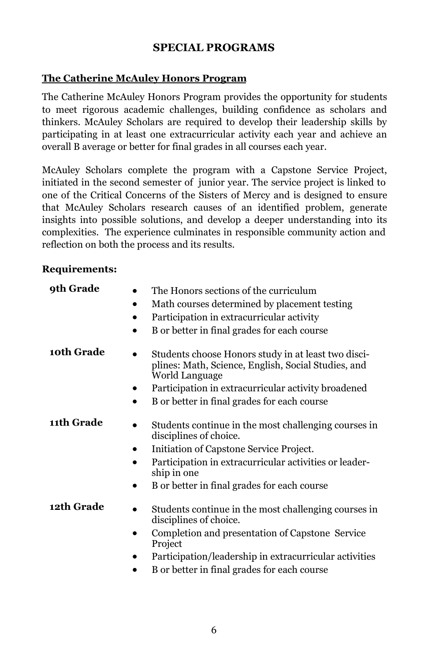### **SPECIAL PROGRAMS**

### **The Catherine McAuley Honors Program**

The Catherine McAuley Honors Program provides the opportunity for students to meet rigorous academic challenges, building confidence as scholars and thinkers. McAuley Scholars are required to develop their leadership skills by participating in at least one extracurricular activity each year and achieve an overall B average or better for final grades in all courses each year.

McAuley Scholars complete the program with a Capstone Service Project, initiated in the second semester of junior year. The service project is linked to one of the Critical Concerns of the Sisters of Mercy and is designed to ensure that McAuley Scholars research causes of an identified problem, generate insights into possible solutions, and develop a deeper understanding into its complexities. The experience culminates in responsible community action and reflection on both the process and its results.

#### **Requirements:**

| 9th Grade  | The Honors sections of the curriculum<br>Math courses determined by placement testing<br>٠<br>Participation in extracurricular activity<br>B or better in final grades for each course                                                                |
|------------|-------------------------------------------------------------------------------------------------------------------------------------------------------------------------------------------------------------------------------------------------------|
| 10th Grade | Students choose Honors study in at least two disci-<br>plines: Math, Science, English, Social Studies, and<br>World Language<br>Participation in extracurricular activity broadened<br>B or better in final grades for each course                    |
| 11th Grade | Students continue in the most challenging courses in<br>disciplines of choice.<br>Initiation of Capstone Service Project.<br>Participation in extracurricular activities or leader-<br>ship in one<br>B or better in final grades for each course     |
| 12th Grade | Students continue in the most challenging courses in<br>disciplines of choice.<br>Completion and presentation of Capstone Service<br>Project<br>Participation/leadership in extracurricular activities<br>B or better in final grades for each course |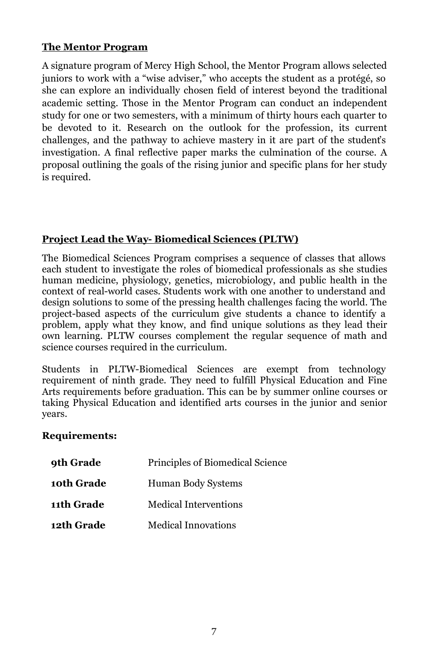### **The Mentor Program**

A signature program of Mercy High School, the Mentor Program allows selected juniors to work with a "wise adviser," who accepts the student as a protégé, so she can explore an individually chosen field of interest beyond the traditional academic setting. Those in the Mentor Program can conduct an independent study for one or two semesters, with a minimum of thirty hours each quarter to be devoted to it. Research on the outlook for the profession, its current challenges, and the pathway to achieve mastery in it are part of the student's investigation. A final reflective paper marks the culmination of the course. A proposal outlining the goals of the rising junior and specific plans for her study is required.

### **Project Lead the Way- Biomedical Sciences (PLTW)**

The Biomedical Sciences Program comprises a sequence of classes that allows each student to investigate the roles of biomedical professionals as she studies human medicine, physiology, genetics, microbiology, and public health in the context of real-world cases. Students work with one another to understand and design solutions to some of the pressing health challenges facing the world. The project-based aspects of the curriculum give students a chance to identify a problem, apply what they know, and find unique solutions as they lead their own learning. PLTW courses complement the regular sequence of math and science courses required in the curriculum.

Students in PLTW-Biomedical Sciences are exempt from technology requirement of ninth grade. They need to fulfill Physical Education and Fine Arts requirements before graduation. This can be by summer online courses or taking Physical Education and identified arts courses in the junior and senior years.

### **Requirements:**

| 9th Grade  | Principles of Biomedical Science |
|------------|----------------------------------|
| 10th Grade | Human Body Systems               |
| 11th Grade | <b>Medical Interventions</b>     |
| 12th Grade | <b>Medical Innovations</b>       |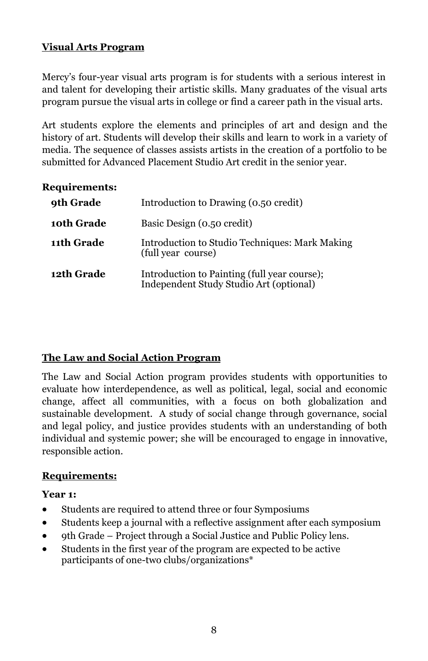### **Visual Arts Program**

Mercy's four-year visual arts program is for students with a serious interest in and talent for developing their artistic skills. Many graduates of the visual arts program pursue the visual arts in college or find a career path in the visual arts.

Art students explore the elements and principles of art and design and the history of art. Students will develop their skills and learn to work in a variety of media. The sequence of classes assists artists in the creation of a portfolio to be submitted for Advanced Placement Studio Art credit in the senior year.

### **Requirements:**

| 9th Grade  | Introduction to Drawing (0.50 credit)                                                   |
|------------|-----------------------------------------------------------------------------------------|
| 10th Grade | Basic Design (0.50 credit)                                                              |
| 11th Grade | Introduction to Studio Techniques: Mark Making<br>(full year course)                    |
| 12th Grade | Introduction to Painting (full year course);<br>Independent Study Studio Art (optional) |

### **The Law and Social Action Program**

The Law and Social Action program provides students with opportunities to evaluate how interdependence, as well as political, legal, social and economic change, affect all communities, with a focus on both globalization and sustainable development. A study of social change through governance, social and legal policy, and justice provides students with an understanding of both individual and systemic power; she will be encouraged to engage in innovative, responsible action.

### **Requirements:**

#### **Year 1:**

- Students are required to attend three or four Symposiums
- Students keep a journal with a reflective assignment after each symposium
- 9th Grade Project through a Social Justice and Public Policy lens.
- Students in the first year of the program are expected to be active participants of one-two clubs/organizations\*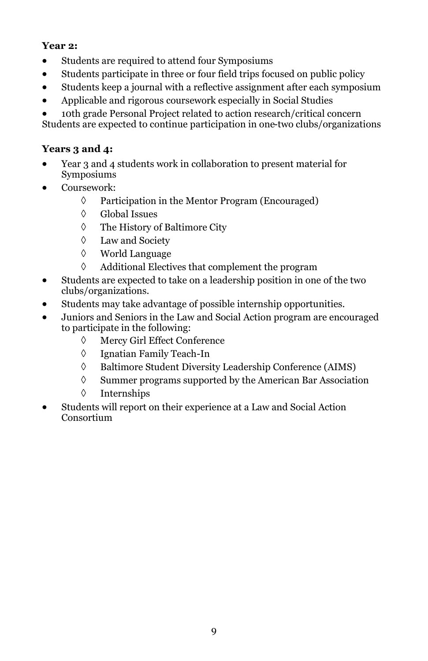### **Year 2:**

- Students are required to attend four Symposiums
- Students participate in three or four field trips focused on public policy
- Students keep a journal with a reflective assignment after each symposium
- Applicable and rigorous coursework especially in Social Studies
- 10th grade Personal Project related to action research/critical concern

Students are expected to continue participation in one-two clubs/organizations

### **Years 3 and 4:**

- Year 3 and 4 students work in collaboration to present material for Symposiums
- Coursework:
	- $\Diamond$  Participation in the Mentor Program (Encouraged)
	- Global Issues
	- The History of Baltimore City
	- Law and Society
	- World Language
	- $\Diamond$  Additional Electives that complement the program
- Students are expected to take on a leadership position in one of the two clubs/organizations.
- Students may take advantage of possible internship opportunities.
- Juniors and Seniors in the Law and Social Action program are encouraged to participate in the following:
	- Mercy Girl Effect Conference
	- Ignatian Family Teach-In
	- Baltimore Student Diversity Leadership Conference (AIMS)
	- $\Diamond$  Summer programs supported by the American Bar Association
	- Internships
- Students will report on their experience at a Law and Social Action Consortium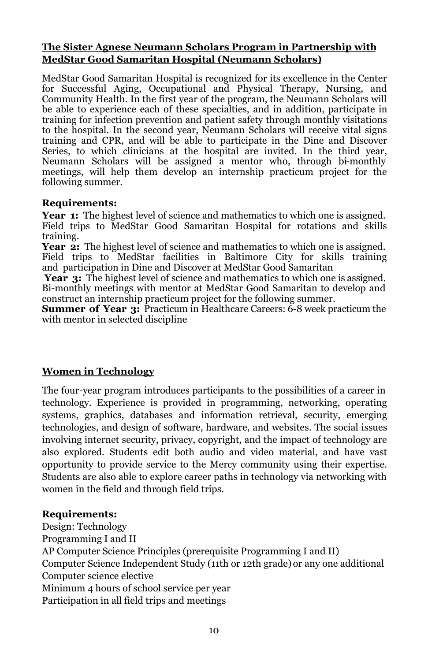#### **The Sister Agnese Neumann Scholars Program in Partnership with MedStar Good Samaritan Hospital (Neumann Scholars)**

MedStar Good Samaritan Hospital is recognized for its excellence in the Center for Successful Aging, Occupational and Physical Therapy, Nursing, and Community Health. In the first year of the program, the Neumann Scholars will be able to experience each of these specialties, and in addition, participate in training for infection prevention and patient safety through monthly visitations to the hospital. In the second year, Neumann Scholars will receive vital signs training and CPR, and will be able to participate in the Dine and Discover Series, to which clinicians at the hospital are invited. In the third year, Neumann Scholars will be assigned a mentor who, through bi-monthly meetings, will help them develop an internship practicum project for the following summer.

### **Requirements:**

**Year 1:** The highest level of science and mathematics to which one is assigned. Field trips to MedStar Good Samaritan Hospital for rotations and skills training.

Year 2: The highest level of science and mathematics to which one is assigned. Field trips to MedStar facilities in Baltimore City for skills training and participation in Dine and Discover at MedStar Good Samaritan

**Year 3:** The highest level of science and mathematics to which one is assigned. Bi-monthly meetings with mentor at MedStar Good Samaritan to develop and construct an internship practicum project for the following summer.

**Summer of Year 3:** Practicum in Healthcare Careers: 6-8 week practicum the with mentor in selected discipline

### **Women in Technology**

The four-year program introduces participants to the possibilities of a career in technology. Experience is provided in programming, networking, operating systems, graphics, databases and information retrieval, security, emerging technologies, and design of software, hardware, and websites. The social issues involving internet security, privacy, copyright, and the impact of technology are also explored. Students edit both audio and video material, and have vast opportunity to provide service to the Mercy community using their expertise. Students are also able to explore career paths in technology via networking with women in the field and through field trips.

#### **Requirements:**

Design: Technology Programming I and II AP Computer Science Principles (prerequisite Programming I and II) Computer Science Independent Study (11th or 12th grade) or any one additional Computer science elective Minimum 4 hours of school service per year Participation in all field trips and meetings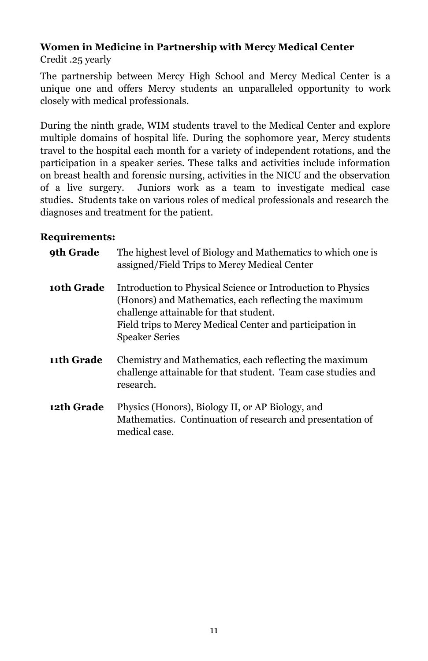# **Women in Medicine in Partnership with Mercy Medical Center**

Credit .25 yearly

The partnership between Mercy High School and Mercy Medical Center is a unique one and offers Mercy students an unparalleled opportunity to work closely with medical professionals.

During the ninth grade, WIM students travel to the Medical Center and explore multiple domains of hospital life. During the sophomore year, Mercy students travel to the hospital each month for a variety of independent rotations, and the participation in a speaker series. These talks and activities include information on breast health and forensic nursing, activities in the NICU and the observation of a live surgery. Juniors work as a team to investigate medical case studies. Students take on various roles of medical professionals and research the diagnoses and treatment for the patient.

### **Requirements:**

| 9th Grade         | The highest level of Biology and Mathematics to which one is<br>assigned/Field Trips to Mercy Medical Center                                                                                                                                        |
|-------------------|-----------------------------------------------------------------------------------------------------------------------------------------------------------------------------------------------------------------------------------------------------|
| 10th Grade        | Introduction to Physical Science or Introduction to Physics<br>(Honors) and Mathematics, each reflecting the maximum<br>challenge attainable for that student.<br>Field trips to Mercy Medical Center and participation in<br><b>Speaker Series</b> |
| 11th Grade        | Chemistry and Mathematics, each reflecting the maximum<br>challenge attainable for that student. Team case studies and<br>research.                                                                                                                 |
| <b>12th Grade</b> | Physics (Honors), Biology II, or AP Biology, and<br>Mathematics. Continuation of research and presentation of<br>medical case.                                                                                                                      |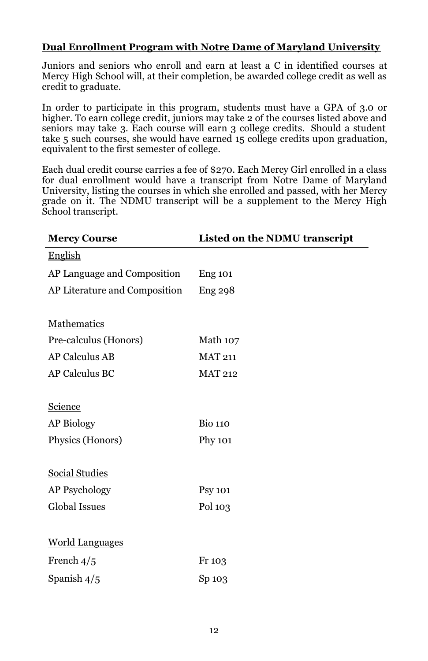### **Dual Enrollment Program with Notre Dame of Maryland University**

Juniors and seniors who enroll and earn at least a C in identified courses at Mercy High School will, at their completion, be awarded college credit as well as credit to graduate.

In order to participate in this program, students must have a GPA of 3.0 or higher. To earn college credit, juniors may take 2 of the courses listed above and seniors may take 3. Each course will earn 3 college credits. Should a student take 5 such courses, she would have earned 15 college credits upon graduation, equivalent to the first semester of college.

Each dual credit course carries a fee of \$270. Each Mercy Girl enrolled in a class for dual enrollment would have a transcript from Notre Dame of Maryland University, listing the courses in which she enrolled and passed, with her Mercy grade on it. The NDMU transcript will be a supplement to the Mercy High School transcript.

| <b>Mercy Course</b>           | Listed on the NDMU transcript |
|-------------------------------|-------------------------------|
| <b>English</b>                |                               |
| AP Language and Composition   | <b>Eng 101</b>                |
| AP Literature and Composition | <b>Eng 298</b>                |
|                               |                               |
| Mathematics                   |                               |
| Pre-calculus (Honors)         | Math 107                      |
| <b>AP Calculus AB</b>         | <b>MAT 211</b>                |
| <b>AP Calculus BC</b>         | <b>MAT 212</b>                |
|                               |                               |
| Science                       |                               |
| <b>AP Biology</b>             | <b>Bio 110</b>                |
| Physics (Honors)              | Phy 101                       |
|                               |                               |
| <b>Social Studies</b>         |                               |
| <b>AP Psychology</b>          | <b>Psy 101</b>                |
| <b>Global Issues</b>          | Pol 103                       |
|                               |                               |
| <b>World Languages</b>        |                               |
| French $4/5$                  | Fr 103                        |
| Spanish $4/5$                 | Sp 103                        |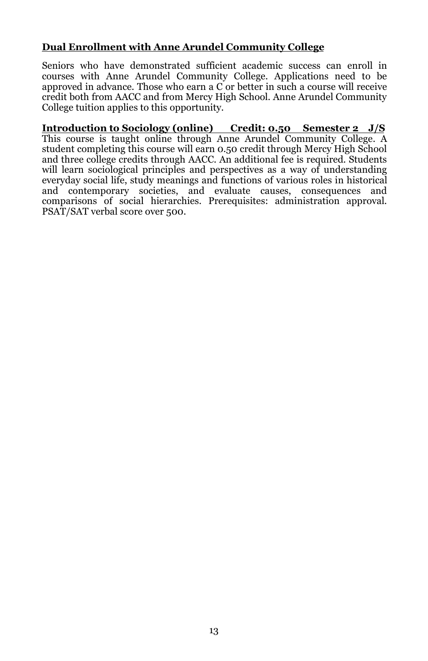### **Dual Enrollment with Anne Arundel Community College**

Seniors who have demonstrated sufficient academic success can enroll in courses with Anne Arundel Community College. Applications need to be approved in advance. Those who earn a C or better in such a course will receive credit both from AACC and from Mercy High School. Anne Arundel Community College tuition applies to this opportunity.

**Introduction to Sociology (online) Credit: 0.50 Semester 2 J/S**  This course is taught online through Anne Arundel Community College. A student completing this course will earn 0.50 credit through Mercy High School and three college credits through AACC. An additional fee is required. Students will learn sociological principles and perspectives as a way of understanding everyday social life, study meanings and functions of various roles in historical and contemporary societies, and evaluate causes, consequences and comparisons of social hierarchies. Prerequisites: administration approval. PSAT/SAT verbal score over 500.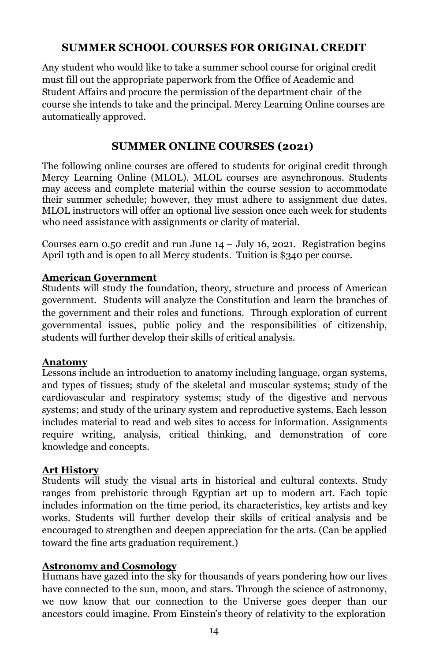### **SUMMER SCHOOL COURSES FOR ORIGINAL CREDIT**

Any student who would like to take a summer school course for original credit must fill out the appropriate paperwork from the Office of Academic and Student Affairs and procure the permission of the department chair of the course she intends to take and the principal. Mercy Learning Online courses are automatically approved.

### **SUMMER ONLINE COURSES (2021)**

The following online courses are offered to students for original credit through Mercy Learning Online (MLOL). MLOL courses are asynchronous. Students may access and complete material within the course session to accommodate their summer schedule; however, they must adhere to assignment due dates. MLOL instructors will offer an optional live session once each week for students who need assistance with assignments or clarity of material.

Courses earn  $0.50$  credit and run June  $14 -$  July 16, 2021. Registration begins April 19th and is open to all Mercy students. Tuition is \$340 per course.

#### **American Government**

Students will study the foundation, theory, structure and process of American government. Students will analyze the Constitution and learn the branches of the government and their roles and functions. Through exploration of current governmental issues, public policy and the responsibilities of citizenship, students will further develop their skills of critical analysis.

#### **Anatomy**

Lessons include an introduction to anatomy including language, organ systems, and types of tissues; study of the skeletal and muscular systems; study of the cardiovascular and respiratory systems; study of the digestive and nervous systems; and study of the urinary system and reproductive systems. Each lesson includes material to read and web sites to access for information. Assignments require writing, analysis, critical thinking, and demonstration of core knowledge and concepts.

### **Art History**

Students will study the visual arts in historical and cultural contexts. Study ranges from prehistoric through Egyptian art up to modern art. Each topic includes information on the time period, its characteristics, key artists and key works. Students will further develop their skills of critical analysis and be encouraged to strengthen and deepen appreciation for the arts. (Can be applied toward the fine arts graduation requirement.)

### **Astronomy and Cosmology**

Humans have gazed into the sky for thousands of years pondering how our lives have connected to the sun, moon, and stars. Through the science of astronomy, we now know that our connection to the Universe goes deeper than our ancestors could imagine. From Einstein's theory of relativity to the exploration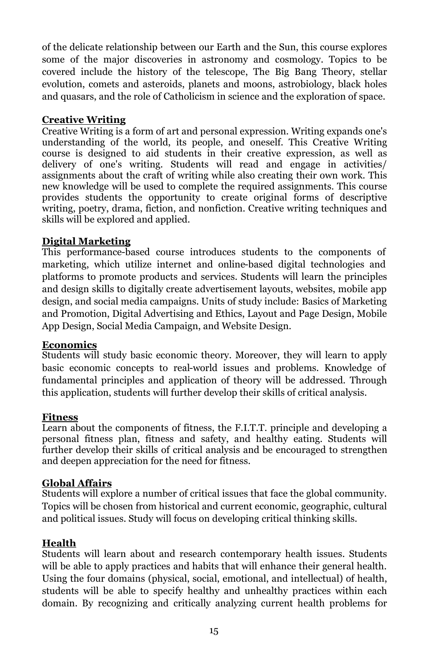of the delicate relationship between our Earth and the Sun, this course explores some of the major discoveries in astronomy and cosmology. Topics to be covered include the history of the telescope, The Big Bang Theory, stellar evolution, comets and asteroids, planets and moons, astrobiology, black holes and quasars, and the role of Catholicism in science and the exploration of space.

### **Creative Writing**

Creative Writing is a form of art and personal expression. Writing expands one's understanding of the world, its people, and oneself. This Creative Writing course is designed to aid students in their creative expression, as well as delivery of one's writing. Students will read and engage in activities/ assignments about the craft of writing while also creating their own work. This new knowledge will be used to complete the required assignments. This course provides students the opportunity to create original forms of descriptive writing, poetry, drama, fiction, and nonfiction. Creative writing techniques and skills will be explored and applied.

### **Digital Marketing**

This performance-based course introduces students to the components of marketing, which utilize internet and online-based digital technologies and platforms to promote products and services. Students will learn the principles and design skills to digitally create advertisement layouts, websites, mobile app design, and social media campaigns. Units of study include: Basics of Marketing and Promotion, Digital Advertising and Ethics, Layout and Page Design, Mobile App Design, Social Media Campaign, and Website Design.

#### **Economics**

Students will study basic economic theory. Moreover, they will learn to apply basic economic concepts to real-world issues and problems. Knowledge of fundamental principles and application of theory will be addressed. Through this application, students will further develop their skills of critical analysis.

#### **Fitness**

Learn about the components of fitness, the F.I.T.T. principle and developing a personal fitness plan, fitness and safety, and healthy eating. Students will further develop their skills of critical analysis and be encouraged to strengthen and deepen appreciation for the need for fitness.

### **Global Affairs**

Students will explore a number of critical issues that face the global community. Topics will be chosen from historical and current economic, geographic, cultural and political issues. Study will focus on developing critical thinking skills.

#### **Health**

Students will learn about and research contemporary health issues. Students will be able to apply practices and habits that will enhance their general health. Using the four domains (physical, social, emotional, and intellectual) of health, students will be able to specify healthy and unhealthy practices within each domain. By recognizing and critically analyzing current health problems for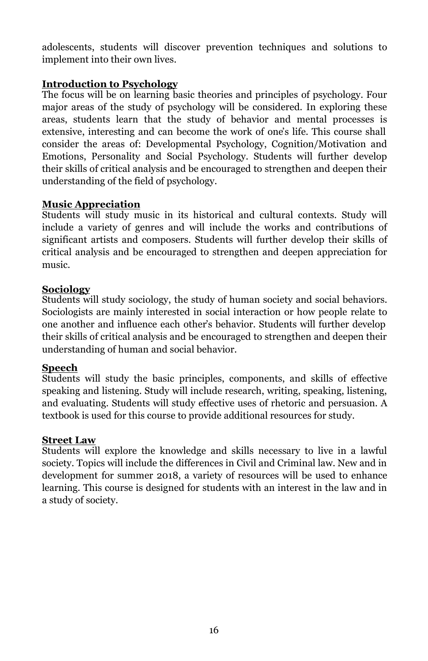adolescents, students will discover prevention techniques and solutions to implement into their own lives.

### **Introduction to Psychology**

The focus will be on learning basic theories and principles of psychology. Four major areas of the study of psychology will be considered. In exploring these areas, students learn that the study of behavior and mental processes is extensive, interesting and can become the work of one's life. This course shall consider the areas of: Developmental Psychology, Cognition/Motivation and Emotions, Personality and Social Psychology. Students will further develop their skills of critical analysis and be encouraged to strengthen and deepen their understanding of the field of psychology.

### **Music Appreciation**

Students will study music in its historical and cultural contexts. Study will include a variety of genres and will include the works and contributions of significant artists and composers. Students will further develop their skills of critical analysis and be encouraged to strengthen and deepen appreciation for music.

### **Sociology**

Students will study sociology, the study of human society and social behaviors. Sociologists are mainly interested in social interaction or how people relate to one another and influence each other's behavior. Students will further develop their skills of critical analysis and be encouraged to strengthen and deepen their understanding of human and social behavior.

#### **Speech**

Students will study the basic principles, components, and skills of effective speaking and listening. Study will include research, writing, speaking, listening, and evaluating. Students will study effective uses of rhetoric and persuasion. A textbook is used for this course to provide additional resources for study.

#### **Street Law**

Students will explore the knowledge and skills necessary to live in a lawful society. Topics will include the differences in Civil and Criminal law. New and in development for summer 2018, a variety of resources will be used to enhance learning. This course is designed for students with an interest in the law and in a study of society.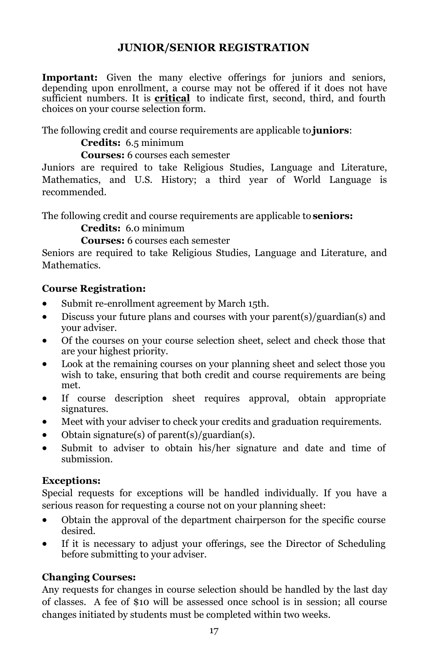### **JUNIOR/SENIOR REGISTRATION**

**Important:** Given the many elective offerings for juniors and seniors, depending upon enrollment, a course may not be offered if it does not have sufficient numbers. It is **critical** to indicate first, second, third, and fourth choices on your course selection form.

The following credit and course requirements are applicable to **juniors**:

**Credits:** 6.5 minimum

**Courses:** 6 courses each semester

Juniors are required to take Religious Studies, Language and Literature, Mathematics, and U.S. History; a third year of World Language is recommended.

The following credit and course requirements are applicable to **seniors:**

**Credits:** 6.0 minimum

**Courses:** 6 courses each semester

Seniors are required to take Religious Studies, Language and Literature, and Mathematics.

### **Course Registration:**

- Submit re-enrollment agreement by March 15th.
- Discuss your future plans and courses with your parent(s)/guardian(s) and your adviser.
- Of the courses on your course selection sheet, select and check those that are your highest priority.
- Look at the remaining courses on your planning sheet and select those you wish to take, ensuring that both credit and course requirements are being met.
- If course description sheet requires approval, obtain appropriate signatures.
- Meet with your adviser to check your credits and graduation requirements.
- Obtain signature(s) of parent(s)/guardian(s).
- Submit to adviser to obtain his/her signature and date and time of submission.

### **Exceptions:**

Special requests for exceptions will be handled individually. If you have a serious reason for requesting a course not on your planning sheet:

- Obtain the approval of the department chairperson for the specific course desired.
- If it is necessary to adjust your offerings, see the Director of Scheduling before submitting to your adviser.

### **Changing Courses:**

Any requests for changes in course selection should be handled by the last day of classes. A fee of \$10 will be assessed once school is in session; all course changes initiated by students must be completed within two weeks.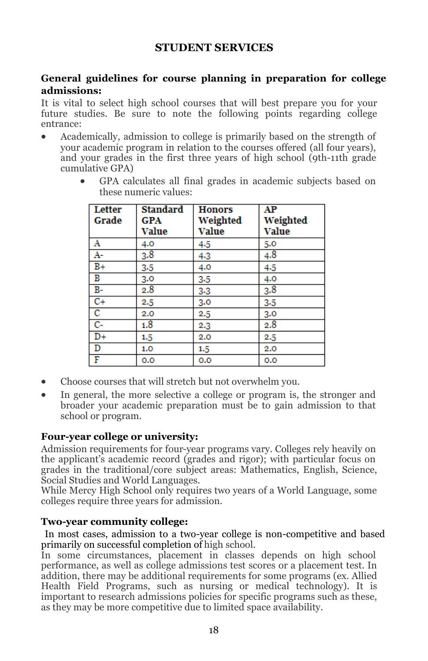### **STUDENT SERVICES**

#### **General guidelines for course planning in preparation for college admissions:**

It is vital to select high school courses that will best prepare you for your future studies. Be sure to note the following points regarding college entrance:

- Academically, admission to college is primarily based on the strength of your academic program in relation to the courses offered (all four years), and your grades in the first three years of high school (9th-11th grade cumulative GPA)
	- GPA calculates all final grades in academic subjects based on these numeric values:

| Letter | <b>Standard</b> | <b>Honors</b> | AP       |
|--------|-----------------|---------------|----------|
| Grade  | GPA             | Weighted      | Weighted |
|        | Value           | Value         | Value    |
| Α      | 4.0             | 4.5           | 5.0      |
| A-     | 3.8             | $4-3$         | 4.8      |
| $B+$   | $3-5$           | 4.0           | 4.5      |
| в      | 3.0             | $3-5$         | 4.0      |
| $B-$   | 2.8             | $3-3$         | 3.8      |
| $C+$   | 2.5             | 3.0           | $3-5$    |
| c      | 2.0             | 2.5           | 3.0      |
| $C-$   | 1.8             | 2.3           | 2.8      |
| $D+$   | $1.5\,$         | 2.0           | 2.5      |
| D      | 1.0             | 1.5           | 2.0      |
| F      | 0.0             | 0.0           | 0.0      |

- Choose courses that will stretch but not overwhelm you.
- In general, the more selective a college or program is, the stronger and broader your academic preparation must be to gain admission to that school or program.

#### **Four-year college or university:**

Admission requirements for four-year programs vary. Colleges rely heavily on the applicant's academic record (grades and rigor); with particular focus on grades in the traditional/core subject areas: Mathematics, English, Science, Social Studies and World Languages.

While Mercy High School only requires two years of a World Language, some colleges require three years for admission.

#### **Two-year community college:**

In most cases, admission to a two-year college is non-competitive and based primarily on successful completion of high school.

In some circumstances, placement in classes depends on high school performance, as well as college admissions test scores or a placement test. In addition, there may be additional requirements for some programs (ex. Allied Health Field Programs, such as nursing or medical technology). It is important to research admissions policies for specific programs such as these, as they may be more competitive due to limited space availability.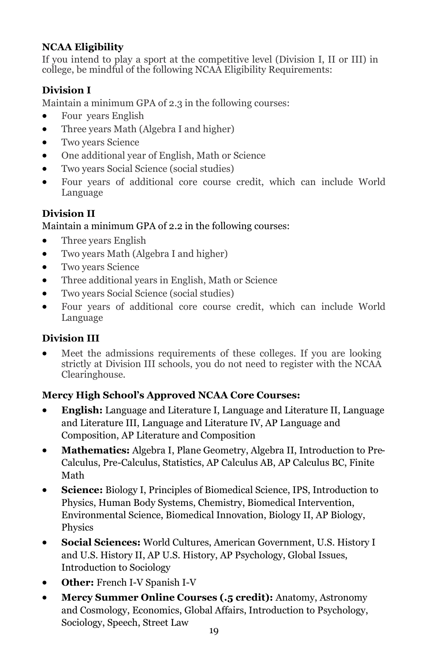### **NCAA Eligibility**

If you intend to play a sport at the competitive level (Division I, II or III) in college, be mindful of the following NCAA Eligibility Requirements:

## **Division I**

Maintain a minimum GPA of 2.3 in the following courses:

- Four years English
- Three years Math (Algebra I and higher)
- Two years Science
- One additional year of English, Math or Science
- Two years Social Science (social studies)
- Four years of additional core course credit, which can include World Language

### **Division II**

### Maintain a minimum GPA of 2.2 in the following courses:

- Three years English
- Two years Math (Algebra I and higher)
- Two years Science
- Three additional years in English, Math or Science
- Two years Social Science (social studies)
- Four years of additional core course credit, which can include World Language

### **Division III**

• Meet the admissions requirements of these colleges. If you are looking strictly at Division III schools, you do not need to register with the NCAA Clearinghouse.

### **Mercy High School's Approved NCAA Core Courses:**

- **English:** Language and Literature I, Language and Literature II, Language and Literature III, Language and Literature IV, AP Language and Composition, AP Literature and Composition
- **Mathematics:** Algebra I, Plane Geometry, Algebra II, Introduction to Pre-Calculus, Pre-Calculus, Statistics, AP Calculus AB, AP Calculus BC, Finite Math
- **Science:** Biology I, Principles of Biomedical Science, IPS, Introduction to Physics, Human Body Systems, Chemistry, Biomedical Intervention, Environmental Science, Biomedical Innovation, Biology II, AP Biology, Physics
- **Social Sciences:** World Cultures, American Government, U.S. History I and U.S. History II, AP U.S. History, AP Psychology, Global Issues, Introduction to Sociology
- **Other:** French I-V Spanish I-V
- **Mercy Summer Online Courses (.5 credit):** Anatomy, Astronomy and Cosmology, Economics, Global Affairs, Introduction to Psychology, Sociology, Speech, Street Law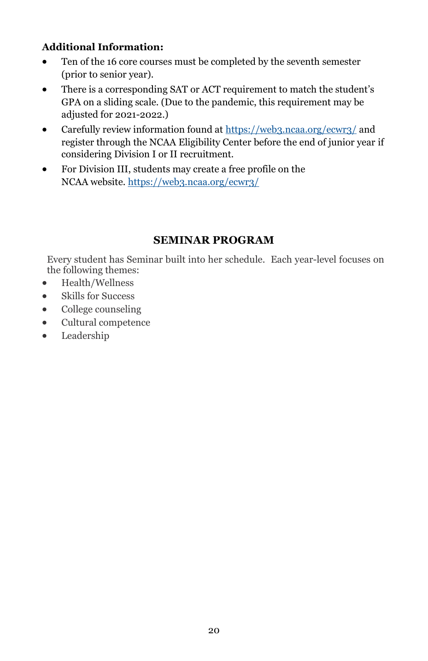### **Additional Information:**

- Ten of the 16 core courses must be completed by the seventh semester (prior to senior year).
- There is a corresponding SAT or ACT requirement to match the student's GPA on a sliding scale. (Due to the pandemic, this requirement may be adjusted for 2021-2022.)
- Carefully review information found at <https://web3.ncaa.org/ecwr3/> and register through the NCAA Eligibility Center before the end of junior year if considering Division I or II recruitment.
- For Division III, students may create a free profile on the NCAA website. <https://web3.ncaa.org/ecwr3/>

### **SEMINAR PROGRAM**

Every student has Seminar built into her schedule. Each year-level focuses on the following themes:

- Health/Wellness
- Skills for Success
- College counseling
- Cultural competence
- Leadership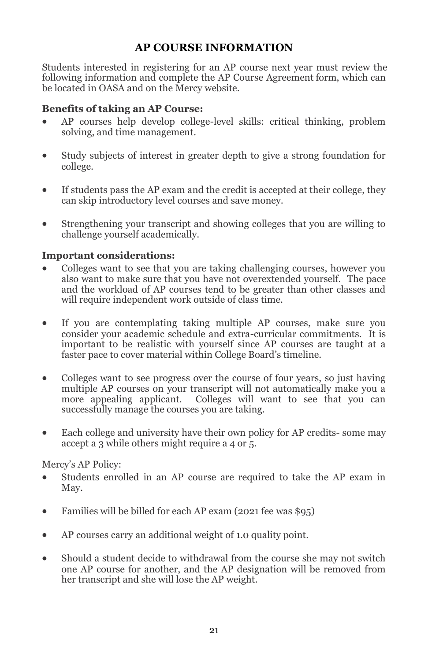### **AP COURSE INFORMATION**

Students interested in registering for an AP course next year must review the following information and complete the AP Course Agreement form, which can be located in OASA and on the Mercy website.

### **Benefits of taking an AP Course:**

- AP courses help develop college-level skills: critical thinking, problem solving, and time management.
- Study subjects of interest in greater depth to give a strong foundation for college.
- If students pass the AP exam and the credit is accepted at their college, they can skip introductory level courses and save money.
- Strengthening your transcript and showing colleges that you are willing to challenge yourself academically.

### **Important considerations:**

- Colleges want to see that you are taking challenging courses, however you also want to make sure that you have not overextended yourself. The pace and the workload of AP courses tend to be greater than other classes and will require independent work outside of class time.
- If you are contemplating taking multiple AP courses, make sure you consider your academic schedule and extra-curricular commitments. It is important to be realistic with yourself since AP courses are taught at a faster pace to cover material within College Board's timeline.
- Colleges want to see progress over the course of four years, so just having multiple AP courses on your transcript will not automatically make you a more appealing applicant. Colleges will want to see that you can successfully manage the courses you are taking.
- Each college and university have their own policy for AP credits-some may accept a 3 while others might require a 4 or 5.

Mercy's AP Policy:

- Students enrolled in an AP course are required to take the AP exam in May.
- Families will be billed for each AP exam (2021 fee was \$95)
- AP courses carry an additional weight of 1.0 quality point.
- Should a student decide to withdrawal from the course she may not switch one AP course for another, and the AP designation will be removed from her transcript and she will lose the AP weight.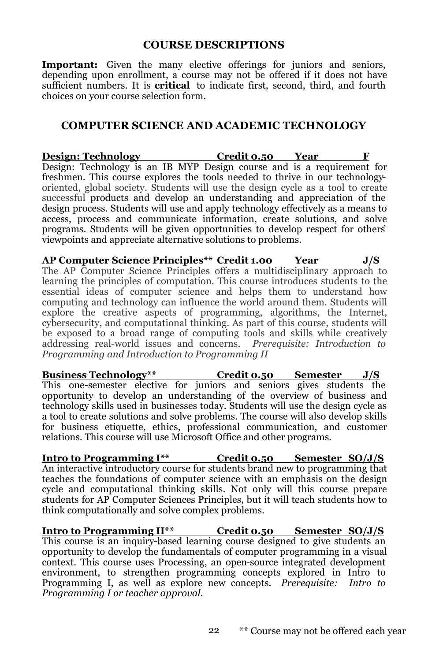#### **COURSE DESCRIPTIONS**

Important: Given the many elective offerings for juniors and seniors, depending upon enrollment, a course may not be offered if it does not have sufficient numbers. It is **critical** to indicate first, second, third, and fourth choices on your course selection form.

#### **COMPUTER SCIENCE AND ACADEMIC TECHNOLOGY**

**Design: Technology Credit 0.50 Year** Design: Technology is an IB MYP Design course and is a requirement for freshmen. This course explores the tools needed to thrive in our technologyoriented, global society. Students will use the design cycle as a tool to create successful products and develop an understanding and appreciation of the design process. Students will use and apply technology effectively as a means to access, process and communicate information, create solutions, and solve programs. Students will be given opportunities to develop respect for others' viewpoints and appreciate alternative solutions to problems.

**AP Computer Science Principles\*\* Credit 1.00 Year J/S** The AP Computer Science Principles offers a multidisciplinary approach to learning the principles of computation. This course introduces students to the essential ideas of computer science and helps them to understand how computing and technology can influence the world around them. Students will explore the creative aspects of programming, algorithms, the Internet, cybersecurity, and computational thinking. As part of this course, students will be exposed to a broad range of computing tools and skills while creatively addressing real-world issues and concerns. *Prerequisite: Introduction to Programming and Introduction to Programming II*

**Business Technology\*\* Credit 0.50 Semester J/S** This one-semester elective for juniors and seniors gives students the opportunity to develop an understanding of the overview of business and technology skills used in businesses today. Students will use the design cycle as a tool to create solutions and solve problems. The course will also develop skills for business etiquette, ethics, professional communication, and customer relations. This course will use Microsoft Office and other programs.

**Intro to Programming I\*\* Credit 0.50 Semester SO/J/S** An interactive introductory course for students brand new to programming that teaches the foundations of computer science with an emphasis on the design cycle and computational thinking skills. Not only will this course prepare students for AP Computer Sciences Principles, but it will teach students how to think computationally and solve complex problems.

**Intro to Programming II\*\* Credit 0.50 Semester SO/J/S** This course is an inquiry-based learning course designed to give students an opportunity to develop the fundamentals of computer programming in a visual context. This course uses Processing, an open-source integrated development environment, to strengthen programming concepts explored in Intro to Programming I, as well as explore new concepts. *Prerequisite: Intro to Programming I or teacher approval.*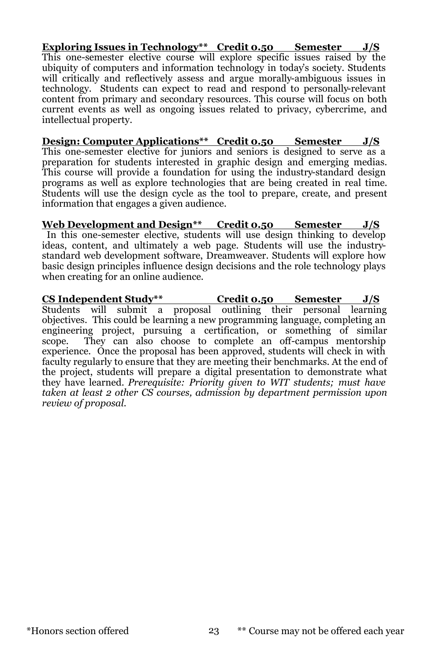**Exploring Issues in Technology\*\* Credit 0.50 Semester J/S** This one-semester elective course will explore specific issues raised by the ubiquity of computers and information technology in today's society. Students will critically and reflectively assess and argue morally-ambiguous issues in technology. Students can expect to read and respond to personally-relevant content from primary and secondary resources. This course will focus on both current events as well as ongoing issues related to privacy, cybercrime, and intellectual property.

**Design: Computer Applications\*\* Credit 0.50 Semester J/S** This one-semester elective for juniors and seniors is designed to serve as a preparation for students interested in graphic design and emerging medias. This course will provide a foundation for using the industry-standard design programs as well as explore technologies that are being created in real time. Students will use the design cycle as the tool to prepare, create, and present information that engages a given audience.

**Web Development and Design\*\* Credit 0.50 Semester J/S** In this one-semester elective, students will use design thinking to develop ideas, content, and ultimately a web page. Students will use the industrystandard web development software, Dreamweaver. Students will explore how basic design principles influence design decisions and the role technology plays when creating for an online audience.

**CS Independent Study\*\* Credit 0.50 Semester J/S** Students will submit a proposal outlining their personal learning objectives. This could be learning a new programming language, completing an engineering project, pursuing a certification, or something of similar scope. They can also choose to complete an off-campus mentorship experience. Once the proposal has been approved, students will check in with faculty regularly to ensure that they are meeting their benchmarks. At the end of the project, students will prepare a digital presentation to demonstrate what they have learned. *Prerequisite: Priority given to WIT students; must have taken at least 2 other CS courses, admission by department permission upon review of proposal.*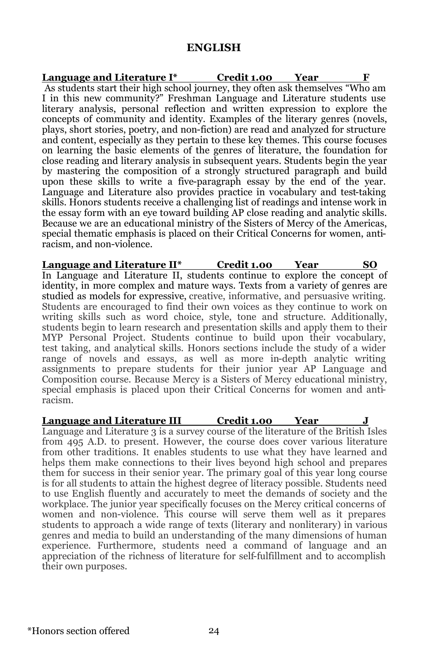#### **ENGLISH**

**Language and Literature I\* Credit 1.00 Year F** As students start their high school journey, they often ask themselves "Who am I in this new community?" Freshman Language and Literature students use literary analysis, personal reflection and written expression to explore the concepts of community and identity. Examples of the literary genres (novels, plays, short stories, poetry, and non-fiction) are read and analyzed for structure and content, especially as they pertain to these key themes. This course focuses on learning the basic elements of the genres of literature, the foundation for close reading and literary analysis in subsequent years. Students begin the year by mastering the composition of a strongly structured paragraph and build upon these skills to write a five-paragraph essay by the end of the year. Language and Literature also provides practice in vocabulary and test-taking skills. Honors students receive a challenging list of readings and intense work in the essay form with an eye toward building AP close reading and analytic skills. Because we are an educational ministry of the Sisters of Mercy of the Americas, special thematic emphasis is placed on their Critical Concerns for women, antiracism, and non-violence.

**Language and Literature II\* Credit 1.00 Year SO** In Language and Literature II, students continue to explore the concept of identity, in more complex and mature ways. Texts from a variety of genres are studied as models for expressive, creative, informative, and persuasive writing. Students are encouraged to find their own voices as they continue to work on writing skills such as word choice, style, tone and structure. Additionally, students begin to learn research and presentation skills and apply them to their MYP Personal Project. Students continue to build upon their vocabulary, test taking, and analytical skills. Honors sections include the study of a wider range of novels and essays, as well as more in-depth analytic writing assignments to prepare students for their junior year AP Language and Composition course. Because Mercy is a Sisters of Mercy educational ministry, special emphasis is placed upon their Critical Concerns for women and antiracism.

**Language and Literature III Credit 1.00 Year J** Language and Literature 3 is a survey course of the literature of the British Isles from 495 A.D. to present. However, the course does cover various literature from other traditions. It enables students to use what they have learned and helps them make connections to their lives beyond high school and prepares them for success in their senior year. The primary goal of this year long course is for all students to attain the highest degree of literacy possible. Students need to use English fluently and accurately to meet the demands of society and the workplace. The junior year specifically focuses on the Mercy critical concerns of women and non-violence. This course will serve them well as it prepares students to approach a wide range of texts (literary and nonliterary) in various genres and media to build an understanding of the many dimensions of human experience. Furthermore, students need a command of language and an appreciation of the richness of literature for self-fulfillment and to accomplish their own purposes.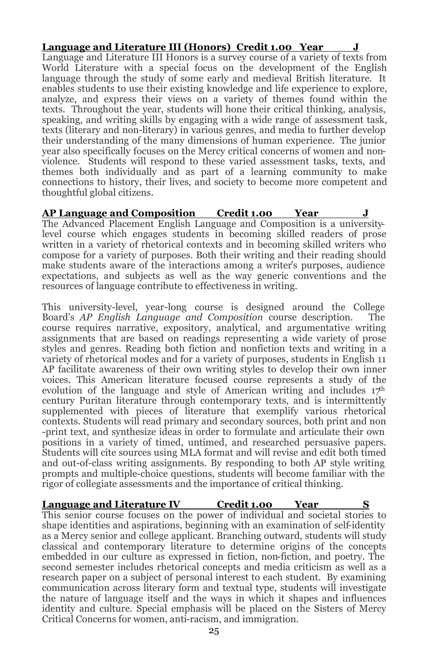#### **Language and Literature III (Honors) Credit 1.00 Year**

Language and Literature III Honors is a survey course of a variety of texts from World Literature with a special focus on the development of the English language through the study of some early and medieval British literature. It enables students to use their existing knowledge and life experience to explore, analyze, and express their views on a variety of themes found within the texts. Throughout the year, students will hone their critical thinking, analysis, speaking, and writing skills by engaging with a wide range of assessment task, texts (literary and non-literary) in various genres, and media to further develop their understanding of the many dimensions of human experience. The junior year also specifically focuses on the Mercy critical concerns of women and nonviolence. Students will respond to these varied assessment tasks, texts, and themes both individually and as part of a learning community to make connections to history, their lives, and society to become more competent and thoughtful global citizens.

### **AP Language and Composition Credit 1.00 Year J**

The Advanced Placement English Language and Composition is a universitylevel course which engages students in becoming skilled readers of prose written in a variety of rhetorical contexts and in becoming skilled writers who compose for a variety of purposes. Both their writing and their reading should make students aware of the interactions among a writer's purposes, audience expectations, and subjects as well as the way generic conventions and the resources of language contribute to effectiveness in writing.

This university-level, year-long course is designed around the College Board's *AP English Language and Composition* course description. The course requires narrative, expository, analytical, and argumentative writing assignments that are based on readings representing a wide variety of prose styles and genres. Reading both fiction and nonfiction texts and writing in a variety of rhetorical modes and for a variety of purposes, students in English 11 AP facilitate awareness of their own writing styles to develop their own inner voices. This American literature focused course represents a study of the evolution of the language and style of American writing and includes  $17<sup>th</sup>$ century Puritan literature through contemporary texts, and is intermittently supplemented with pieces of literature that exemplify various rhetorical contexts. Students will read primary and secondary sources, both print and non -print text, and synthesize ideas in order to formulate and articulate their own positions in a variety of timed, untimed, and researched persuasive papers. Students will cite sources using MLA format and will revise and edit both timed and out-of-class writing assignments. By responding to both AP style writing prompts and multiple-choice questions, students will become familiar with the rigor of collegiate assessments and the importance of critical thinking.

**Language and Literature IV Credit 1.00 Year** This senior course focuses on the power of individual and societal stories to shape identities and aspirations, beginning with an examination of self-identity as a Mercy senior and college applicant. Branching outward, students will study classical and contemporary literature to determine origins of the concepts embedded in our culture as expressed in fiction, non-fiction, and poetry. The second semester includes rhetorical concepts and media criticism as well as a research paper on a subject of personal interest to each student. By examining communication across literary form and textual type, students will investigate the nature of language itself and the ways in which it shapes and influences identity and culture. Special emphasis will be placed on the Sisters of Mercy Critical Concerns for women, anti-racism, and immigration.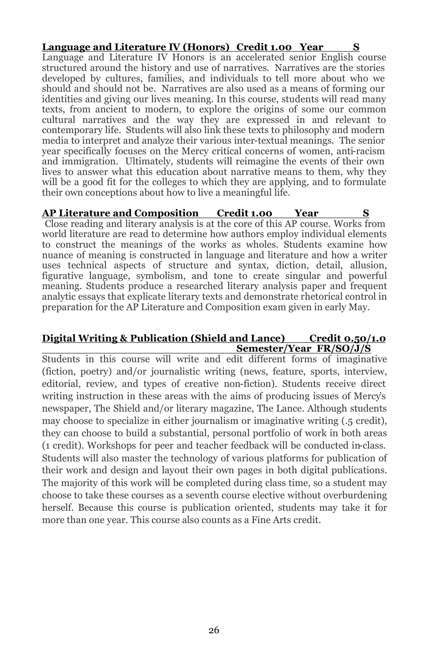**Language and Literature IV (Honors) Credit 1.00 Year** Language and Literature IV Honors is an accelerated senior English course structured around the history and use of narratives. Narratives are the stories developed by cultures, families, and individuals to tell more about who we should and should not be. Narratives are also used as a means of forming our identities and giving our lives meaning. In this course, students will read many texts, from ancient to modern, to explore the origins of some our common cultural narratives and the way they are expressed in and relevant to contemporary life. Students will also link these texts to philosophy and modern media to interpret and analyze their various inter-textual meanings. The senior year specifically focuses on the Mercy critical concerns of women, anti-racism and immigration. Ultimately, students will reimagine the events of their own lives to answer what this education about narrative means to them, why they will be a good fit for the colleges to which they are applying, and to formulate their own conceptions about how to live a meaningful life.

#### **AP Literature and Composition Credit 1.00 Year S**

Close reading and literary analysis is at the core of this AP course. Works from world literature are read to determine how authors employ individual elements to construct the meanings of the works as wholes. Students examine how nuance of meaning is constructed in language and literature and how a writer uses technical aspects of structure and syntax, diction, detail, allusion, figurative language, symbolism, and tone to create singular and powerful meaning. Students produce a researched literary analysis paper and frequent analytic essays that explicate literary texts and demonstrate rhetorical control in preparation for the AP Literature and Composition exam given in early May.

#### **Digital Writing & Publication (Shield and Lance) Credit 0.50/1.0 Semester/Year FR/SO/J/S**

Students in this course will write and edit different forms of imaginative (fiction, poetry) and/or journalistic writing (news, feature, sports, interview, editorial, review, and types of creative non-fiction). Students receive direct writing instruction in these areas with the aims of producing issues of Mercy's newspaper, The Shield and/or literary magazine, The Lance. Although students may choose to specialize in either journalism or imaginative writing (.5 credit), they can choose to build a substantial, personal portfolio of work in both areas (1 credit). Workshops for peer and teacher feedback will be conducted in-class. Students will also master the technology of various platforms for publication of their work and design and layout their own pages in both digital publications. The majority of this work will be completed during class time, so a student may choose to take these courses as a seventh course elective without overburdening herself. Because this course is publication oriented, students may take it for more than one year. This course also counts as a Fine Arts credit.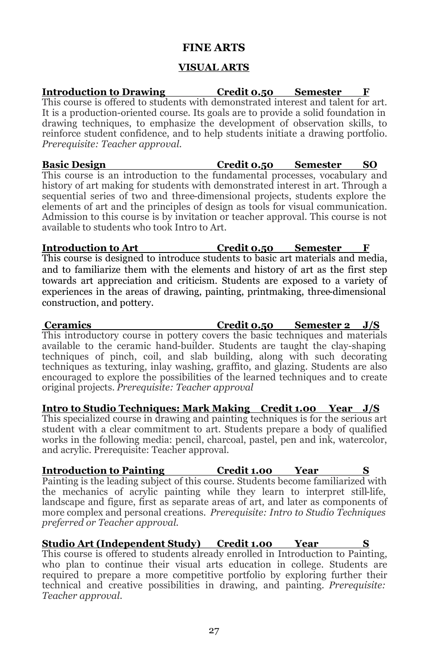### **FINE ARTS**

### **VISUAL ARTS**

**Introduction to Drawing Credit 0.50 Semester F** This course is offered to students with demonstrated interest and talent for art. It is a production-oriented course. Its goals are to provide a solid foundation in drawing techniques, to emphasize the development of observation skills, to reinforce student confidence, and to help students initiate a drawing portfolio. *Prerequisite: Teacher approval.* **Basic Design Credit 0.50 Semester** This course is an introduction to the fundamental processes, vocabulary and history of art making for students with demonstrated interest in art. Through a

sequential series of two and three-dimensional projects, students explore the elements of art and the principles of design as tools for visual communication. Admission to this course is by invitation or teacher approval. This course is not available to students who took Intro to Art.

**Introduction to Art Credit 0.50 Semester F** This course is designed to introduce students to basic art materials and media, and to familiarize them with the elements and history of art as the first step towards art appreciation and criticism. Students are exposed to a variety of experiences in the areas of drawing, painting, printmaking, three-dimensional construction, and pottery.

**Ceramics Credit 0.50 Semester 2 J/S** This introductory course in pottery covers the basic techniques and materials available to the ceramic hand-builder. Students are taught the clay-shaping techniques of pinch, coil, and slab building, along with such decorating techniques as texturing, inlay washing, graffito, and glazing. Students are also encouraged to explore the possibilities of the learned techniques and to create original projects. *Prerequisite: Teacher approval*

**Intro to Studio Techniques: Mark Making Credit 1.00 Year J/S** This specialized course in drawing and painting techniques is for the serious art student with a clear commitment to art. Students prepare a body of qualified works in the following media: pencil, charcoal, pastel, pen and ink, watercolor, and acrylic. Prerequisite: Teacher approval.

**Introduction to Painting 6 <b>Credit 1.00 Year** Painting is the leading subject of this course. Students become familiarized with the mechanics of acrylic painting while they learn to interpret still-life, landscape and figure, first as separate areas of art, and later as components of more complex and personal creations. *Prerequisite: Intro to Studio Techniques preferred or Teacher approval.*

### **Studio Art (Independent Study) Credit 1.00 Year**

This course is offered to students already enrolled in Introduction to Painting, who plan to continue their visual arts education in college. Students are required to prepare a more competitive portfolio by exploring further their technical and creative possibilities in drawing, and painting. *Prerequisite: Teacher approval.*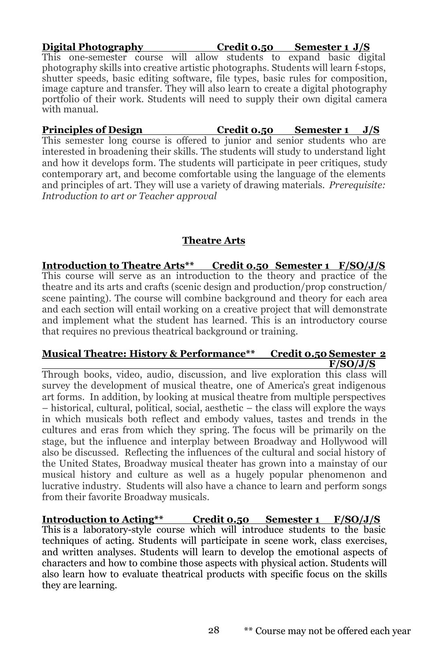**Digital Photography Credit 0.50 Semester 1 J/S** This one-semester course will allow students to expand basic digital photography skills into creative artistic photographs. Students will learn f-stops, shutter speeds, basic editing software, file types, basic rules for composition, image capture and transfer. They will also learn to create a digital photography portfolio of their work. Students will need to supply their own digital camera with manual.

**Principles of Design Credit 0.50 Semester 1 J/S** This semester long course is offered to junior and senior students who are interested in broadening their skills. The students will study to understand light and how it develops form. The students will participate in peer critiques, study contemporary art, and become comfortable using the language of the elements and principles of art. They will use a variety of drawing materials. *Prerequisite: Introduction to art or Teacher approval*

### **Theatre Arts**

**Introduction to Theatre Arts\*\* Credit 0.50 Semester 1 F/SO/J/S**  This course will serve as an introduction to the theory and practice of the theatre and its arts and crafts (scenic design and production/prop construction/ scene painting). The course will combine background and theory for each area and each section will entail working on a creative project that will demonstrate and implement what the student has learned. This is an introductory course that requires no previous theatrical background or training.

#### **Musical Theatre: History & Performance\*\* Credit 0.50 Semester 2 F/SO/J/S**

Through books, video, audio, discussion, and live exploration this class will survey the development of musical theatre, one of America's great indigenous art forms. In addition, by looking at musical theatre from multiple perspectives – historical, cultural, political, social, aesthetic – the class will explore the ways in which musicals both reflect and embody values, tastes and trends in the cultures and eras from which they spring. The focus will be primarily on the stage, but the influence and interplay between Broadway and Hollywood will also be discussed. Reflecting the influences of the cultural and social history of the United States, Broadway musical theater has grown into a mainstay of our musical history and culture as well as a hugely popular phenomenon and lucrative industry. Students will also have a chance to learn and perform songs from their favorite Broadway musicals.

**Introduction to Acting\*\* Credit 0.50 Semester 1 F/SO/J/S** This is a laboratory-style course which will introduce students to the basic techniques of acting. Students will participate in scene work, class exercises, and written analyses. Students will learn to develop the emotional aspects of characters and how to combine those aspects with physical action. Students will also learn how to evaluate theatrical products with specific focus on the skills they are learning.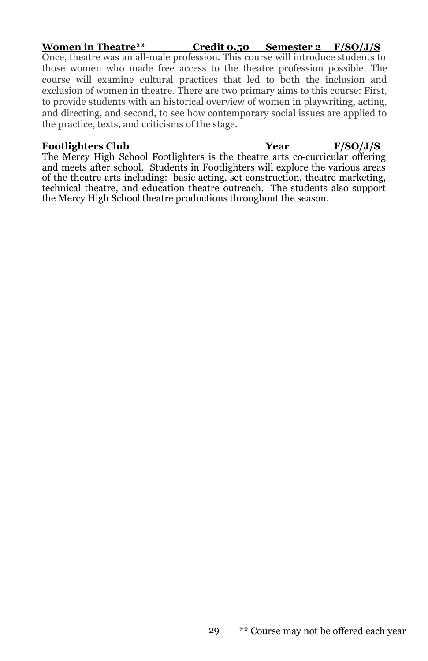#### **Women in Theatre\*\* Credit 0.50 Semester 2 F/SO/J/S**  Once, theatre was an all-male profession. This course will introduce students to those women who made free access to the theatre profession possible. The course will examine cultural practices that led to both the inclusion and exclusion of women in theatre. There are two primary aims to this course: First, to provide students with an historical overview of women in playwriting, acting, and directing, and second, to see how contemporary social issues are applied to the practice, texts, and criticisms of the stage.

**Footlighters Club Year F/SO/J/S**

The Mercy High School Footlighters is the theatre arts co-curricular offering and meets after school. Students in Footlighters will explore the various areas of the theatre arts including: basic acting, set construction, theatre marketing, technical theatre, and education theatre outreach. The students also support the Mercy High School theatre productions throughout the season.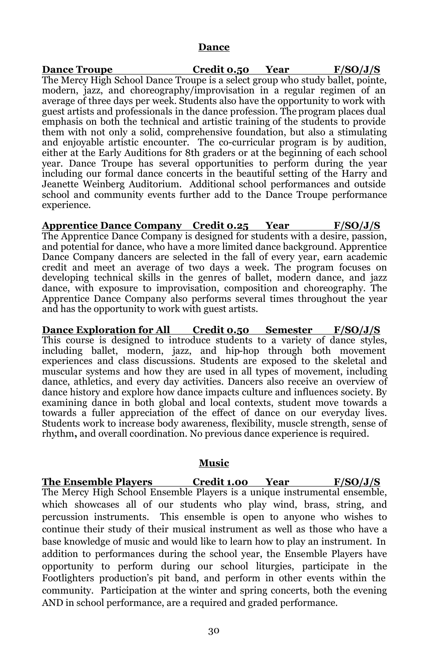#### **Dance**

**Dance Troupe Credit 0.50 Year F/SO/J/S** The Mercy High School Dance Troupe is a select group who study ballet, pointe, modern, jazz, and choreography/improvisation in a regular regimen of an average of three days per week. Students also have the opportunity to work with guest artists and professionals in the dance profession. The program places dual emphasis on both the technical and artistic training of the students to provide them with not only a solid, comprehensive foundation, but also a stimulating and enjoyable artistic encounter. The co-curricular program is by audition, either at the Early Auditions for 8th graders or at the beginning of each school year. Dance Troupe has several opportunities to perform during the year including our formal dance concerts in the beautiful setting of the Harry and Jeanette Weinberg Auditorium. Additional school performances and outside school and community events further add to the Dance Troupe performance experience.

**Apprentice Dance Company Credit 0.25 Year F/SO/J/S** The Apprentice Dance Company is designed for students with a desire, passion, and potential for dance, who have a more limited dance background. Apprentice Dance Company dancers are selected in the fall of every year, earn academic credit and meet an average of two days a week. The program focuses on developing technical skills in the genres of ballet, modern dance, and jazz dance, with exposure to improvisation, composition and choreography. The Apprentice Dance Company also performs several times throughout the year and has the opportunity to work with guest artists.

**Dance Exploration for All Credit 0.50 Semester F/SO/J/S** This course is designed to introduce students to a variety of dance styles, including ballet, modern, jazz, and hip-hop through both movement experiences and class discussions. Students are exposed to the skeletal and muscular systems and how they are used in all types of movement, including dance, athletics, and every day activities. Dancers also receive an overview of dance history and explore how dance impacts culture and influences society. By examining dance in both global and local contexts, student move towards a towards a fuller appreciation of the effect of dance on our everyday lives. Students work to increase body awareness, flexibility, muscle strength, sense of rhythm**,** and overall coordination. No previous dance experience is required.

#### **Music**

**The Ensemble Players Credit 1.00 Year F/SO/J/S** The Mercy High School Ensemble Players is a unique instrumental ensemble, which showcases all of our students who play wind, brass, string, and percussion instruments. This ensemble is open to anyone who wishes to continue their study of their musical instrument as well as those who have a base knowledge of music and would like to learn how to play an instrument. In addition to performances during the school year, the Ensemble Players have opportunity to perform during our school liturgies, participate in the Footlighters production's pit band, and perform in other events within the community. Participation at the winter and spring concerts, both the evening AND in school performance, are a required and graded performance.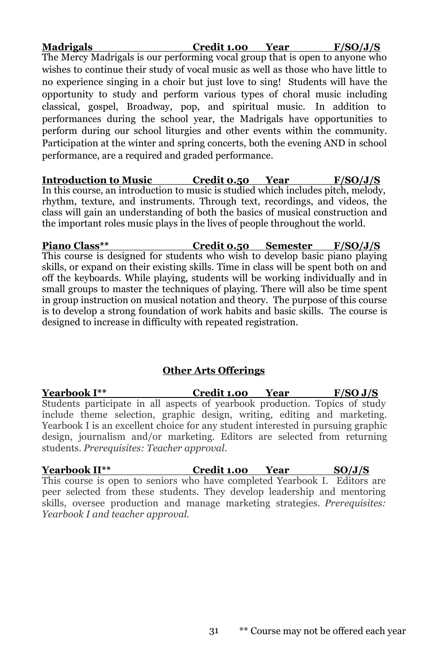| <b>Madrigals</b>                                                                  | Credit 1.00 Year | F/SO/J/S |
|-----------------------------------------------------------------------------------|------------------|----------|
| The Mercy Madrigals is our performing vocal group that is open to anyone who      |                  |          |
| wishes to continue their study of vocal music as well as those who have little to |                  |          |
| no experience singing in a choir but just love to sing! Students will have the    |                  |          |
| opportunity to study and perform various types of choral music including          |                  |          |
| classical, gospel, Broadway, pop, and spiritual music. In addition to             |                  |          |
| performances during the school year, the Madrigals have opportunities to          |                  |          |
| perform during our school liturgies and other events within the community.        |                  |          |
| Participation at the winter and spring concerts, both the evening AND in school   |                  |          |
| performance, are a required and graded performance.                               |                  |          |

**Introduction to Music Credit 0.50 Year F/SO/J/S** In this course, an introduction to music is studied which includes pitch, melody, rhythm, texture, and instruments. Through text, recordings, and videos, the class will gain an understanding of both the basics of musical construction and the important roles music plays in the lives of people throughout the world.

**Piano Class\*\* Credit 0.50 Semester F/SO/J/S** This course is designed for students who wish to develop basic piano playing skills, or expand on their existing skills. Time in class will be spent both on and off the keyboards. While playing, students will be working individually and in small groups to master the techniques of playing. There will also be time spent in group instruction on musical notation and theory. The purpose of this course is to develop a strong foundation of work habits and basic skills. The course is designed to increase in difficulty with repeated registration.

#### **Other Arts Offerings**

**Yearbook I\*\* Credit 1.00 Year F/SO J/S** Students participate in all aspects of yearbook production. Topics of study include theme selection, graphic design, writing, editing and marketing. Yearbook I is an excellent choice for any student interested in pursuing graphic design, journalism and/or marketing. Editors are selected from returning students. *Prerequisites: Teacher approval.*

**Yearbook II\*\* Credit 1.00 Year SO/J/S** This course is open to seniors who have completed Yearbook I. Editors are peer selected from these students. They develop leadership and mentoring skills, oversee production and manage marketing strategies. *Prerequisites: Yearbook I and teacher approval.*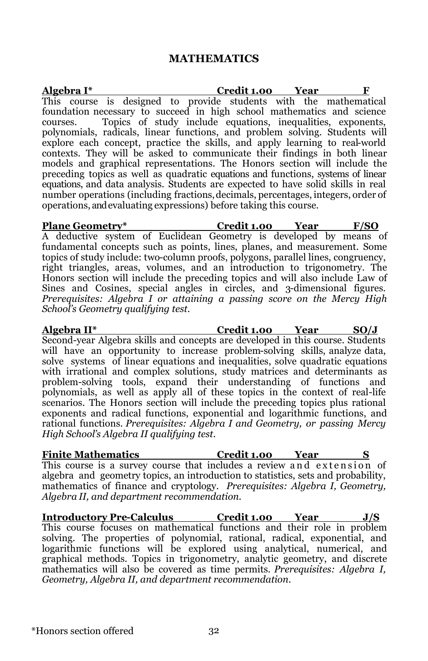#### **MATHEMATICS**

**Algebra I\* Credit 1.00 Year** This course is designed to provide students with the mathematical foundation necessary to succeed in high school mathematics and science courses. Topics of study include equations, inequalities, exponents, polynomials, radicals, linear functions, and problem solving. Students will explore each concept, practice the skills, and apply learning to real-world contexts. They will be asked to communicate their findings in both linear models and graphical representations. The Honors section will include the preceding topics as well as quadratic equations and functions, systems of linear equations, and data analysis. Students are expected to have solid skills in real number operations (including fractions,decimals, percentages, integers, order of operations, and evaluating expressions) before taking this course.

**Plane Geometry\* Credit 1.00 Year F/SO** A deductive system of Euclidean Geometry is developed by means of fundamental concepts such as points, lines, planes, and measurement. Some topics of study include: two-column proofs, polygons, parallel lines, congruency, right triangles, areas, volumes, and an introduction to trigonometry. The Honors section will include the preceding topics and will also include Law of Sines and Cosines, special angles in circles, and 3-dimensional figures. *Prerequisites: Algebra I or attaining a passing score on the Mercy High School's Geometry qualifying test.* 

**Algebra II\* Credit 1.00 Year SO/J** Second-year Algebra skills and concepts are developed in this course. Students will have an opportunity to increase problem-solving skills, analyze data, solve systems of linear equations and inequalities, solve quadratic equations with irrational and complex solutions, study matrices and determinants as problem-solving tools, expand their understanding of functions and polynomials, as well as apply all of these topics in the context of real-life scenarios. The Honors section will include the preceding topics plus rational exponents and radical functions, exponential and logarithmic functions, and rational functions. *Prerequisites: Algebra I and Geometry, or passing Mercy High School's Algebra II qualifying test.*

**Finite Mathematics Credit 1.00 Year** This course is a survey course that includes a review and extension of algebra and geometry topics, an introduction to statistics, sets and probability, mathematics of finance and cryptology. *Prerequisites: Algebra I, Geometry, Algebra II, and department recommendation.*

**Introductory Pre-Calculus Credit 1.00 Year J/S** This course focuses on mathematical functions and their role in problem solving. The properties of polynomial, rational, radical, exponential, and logarithmic functions will be explored using analytical, numerical, and graphical methods. Topics in trigonometry, analytic geometry, and discrete mathematics will also be covered as time permits. *Prerequisites: Algebra I, Geometry, Algebra II, and department recommendation.*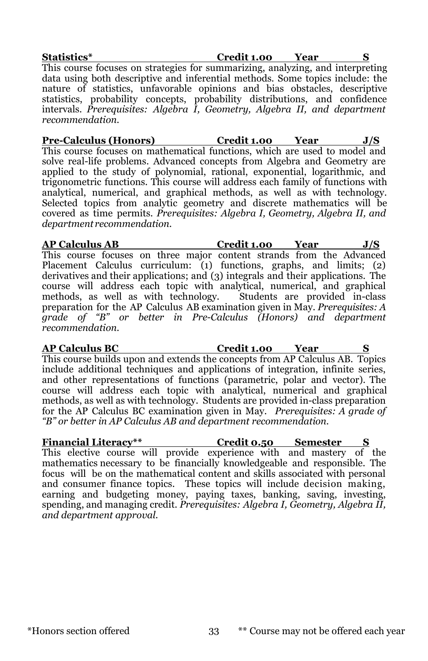**Statistics\* Credit 1.00 Year S** This course focuses on strategies for summarizing, analyzing, and interpreting data using both descriptive and inferential methods. Some topics include: the nature of statistics, unfavorable opinions and bias obstacles, descriptive statistics, probability concepts, probability distributions, and confidence intervals. *Prerequisites: Algebra I, Geometry, Algebra II, and department recommendation.* 

**Pre-Calculus (Honors) Credit 1.00 Year J/S** This course focuses on mathematical functions, which are used to model and solve real-life problems. Advanced concepts from Algebra and Geometry are applied to the study of polynomial, rational, exponential, logarithmic, and trigonometric functions. This course will address each family of functions with analytical, numerical, and graphical methods, as well as with technology. Selected topics from analytic geometry and discrete mathematics will be covered as time permits. *Prerequisites: Algebra I, Geometry, Algebra II, and department recommendation.*

**AP Calculus AB Credit 1.00 Year J/S** This course focuses on three major content strands from the Advanced Placement Calculus curriculum: (1) functions, graphs, and limits; (2) derivatives and their applications; and (3) integrals and their applications. The course will address each topic with analytical, numerical, and graphical methods, as well as with technology. Students are provided in-class preparation for the AP Calculus AB examination given in May. *Prerequisites: A grade of "B" or better in Pre-Calculus (Honors) and department recommendation.*

**AP Calculus BC Credit 1.00 Year S** This course builds upon and extends the concepts from AP Calculus AB. Topics include additional techniques and applications of integration, infinite series, and other representations of functions (parametric, polar and vector). The course will address each topic with analytical, numerical and graphical methods, as well as with technology. Students are provided in-class preparation for the AP Calculus BC examination given in May. *Prerequisites: A grade of "B" or better in AP Calculus AB and department recommendation.*

**Financial Literacy\*\* Credit 0.50 Semester S** This elective course will provide experience with and mastery of the mathematics necessary to be financially knowledgeable and responsible. The focus will be on the mathematical content and skills associated with personal and consumer finance topics. These topics will include decision making, earning and budgeting money, paying taxes, banking, saving, investing, spending, and managing credit. *Prerequisites: Algebra I, Geometry, Algebra II, and department approval.*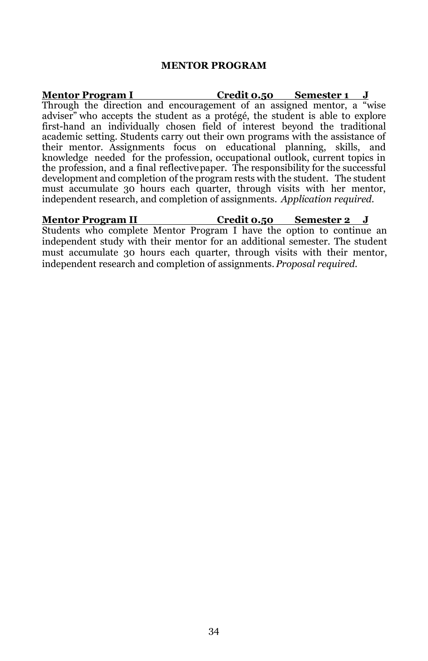#### **MENTOR PROGRAM**

**Mentor Program I Credit 0.50 Semester 1 J** Through the direction and encouragement of an assigned mentor, a "wise adviser" who accepts the student as a protégé, the student is able to explore first-hand an individually chosen field of interest beyond the traditional academic setting. Students carry out their own programs with the assistance of their mentor. Assignments focus on educational planning, skills, and knowledge needed for the profession, occupational outlook, current topics in the profession, and a final reflectivepaper. The responsibility for the successful development and completion of the program rests with the student. The student must accumulate 30 hours each quarter, through visits with her mentor, independent research, and completion of assignments. *Application required.* 

**Mentor Program II Credit 0.50 Semester 2 J** Students who complete Mentor Program I have the option to continue an independent study with their mentor for an additional semester. The student must accumulate 30 hours each quarter, through visits with their mentor, independent research and completion of assignments. *Proposal required.*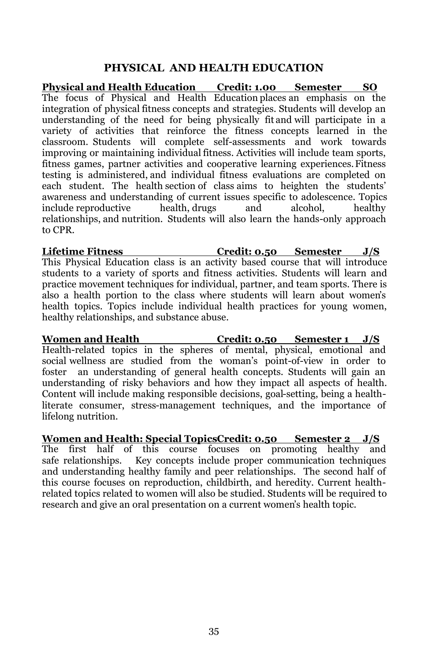### **PHYSICAL AND HEALTH EDUCATION**

**Physical and Health Education Credit: 1.00 Semester SO** The focus of Physical and Health Education places an emphasis on the integration of physical fitness concepts and strategies. Students will develop an understanding of the need for being physically fit and will participate in a variety of activities that reinforce the fitness concepts learned in the classroom. Students will complete self-assessments and work towards improving or maintaining individual fitness. Activities will include team sports, fitness games, partner activities and cooperative learning experiences.Fitness testing is administered, and individual fitness evaluations are completed on each student. The health section of class aims to heighten the students' awareness and understanding of current issues specific to adolescence. Topics include reproductive health, drugs and alcohol, healthy relationships, and nutrition. Students will also learn the hands-only approach to CPR.

**Lifetime Fitness Credit: 0.50 Semester J/S** This Physical Education class is an activity based course that will introduce students to a variety of sports and fitness activities. Students will learn and practice movement techniques for individual, partner, and team sports. There is also a health portion to the class where students will learn about women's health topics. Topics include individual health practices for young women, healthy relationships, and substance abuse.

**Women and Health Credit: 0.50 Semester 1 J/S**  Health-related topics in the spheres of mental, physical, emotional and social wellness are studied from the woman's point-of-view in order to foster an understanding of general health concepts. Students will gain an understanding of risky behaviors and how they impact all aspects of health. Content will include making responsible decisions, goal-setting, being a healthliterate consumer, stress-management techniques, and the importance of lifelong nutrition.

**Women and Health: Special TopicsCredit: 0.50 Semester 2 J/S**  The first half of this course focuses on promoting healthy and safe relationships. Key concepts include proper communication techniques and understanding healthy family and peer relationships. The second half of this course focuses on reproduction, childbirth, and heredity. Current healthrelated topics related to women will also be studied. Students will be required to research and give an oral presentation on a current women's health topic.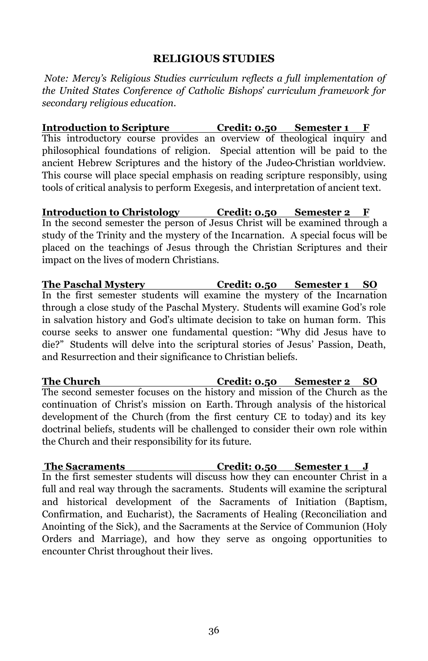### **RELIGIOUS STUDIES**

*Note: Mercy's Religious Studies curriculum reflects a full implementation of the United States Conference of Catholic Bishops' curriculum framework for secondary religious education.*

**Introduction to Scripture Credit: 0.50 Semester 1 F** This introductory course provides an overview of theological inquiry and philosophical foundations of religion. Special attention will be paid to the ancient Hebrew Scriptures and the history of the Judeo-Christian worldview. This course will place special emphasis on reading scripture responsibly, using tools of critical analysis to perform Exegesis, and interpretation of ancient text.

**Introduction to Christology Credit: 0.50 Semester 2 F** In the second semester the person of Jesus Christ will be examined through a study of the Trinity and the mystery of the Incarnation. A special focus will be placed on the teachings of Jesus through the Christian Scriptures and their impact on the lives of modern Christians.

**The Paschal Mystery Credit: 0.50 Semester 1 SO** In the first semester students will examine the mystery of the Incarnation through a close study of the Paschal Mystery. Students will examine God's role in salvation history and God's ultimate decision to take on human form. This course seeks to answer one fundamental question: "Why did Jesus have to die?" Students will delve into the scriptural stories of Jesus' Passion, Death, and Resurrection and their significance to Christian beliefs.

**The Church Credit: 0.50 Semester 2 SO**  The second semester focuses on the history and mission of the Church as the continuation of Christ's mission on Earth. Through analysis of the historical development of the Church (from the first century CE to today) and its key doctrinal beliefs, students will be challenged to consider their own role within the Church and their responsibility for its future.

**The Sacraments Credit: 0.50 Semester 1 J** In the first semester students will discuss how they can encounter Christ in a full and real way through the sacraments. Students will examine the scriptural and historical development of the Sacraments of Initiation (Baptism, Confirmation, and Eucharist), the Sacraments of Healing (Reconciliation and Anointing of the Sick), and the Sacraments at the Service of Communion (Holy Orders and Marriage), and how they serve as ongoing opportunities to encounter Christ throughout their lives.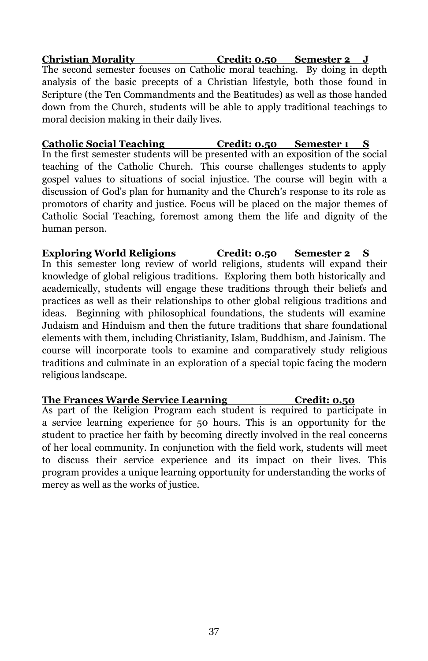**Christian Morality Credit: 0.50 Semester 2 J** The second semester focuses on Catholic moral teaching. By doing in depth analysis of the basic precepts of a Christian lifestyle, both those found in Scripture (the Ten Commandments and the Beatitudes) as well as those handed down from the Church, students will be able to apply traditional teachings to moral decision making in their daily lives.

**Catholic Social Teaching Credit: 0.50 Semester 1 S** In the first semester students will be presented with an exposition of the social teaching of the Catholic Church. This course challenges students to apply gospel values to situations of social injustice. The course will begin with a discussion of God's plan for humanity and the Church's response to its role as promotors of charity and justice. Focus will be placed on the major themes of Catholic Social Teaching, foremost among them the life and dignity of the human person.

**Exploring World Religions Credit: 0.50 Semester 2 S** In this semester long review of world religions, students will expand their knowledge of global religious traditions. Exploring them both historically and academically, students will engage these traditions through their beliefs and practices as well as their relationships to other global religious traditions and ideas. Beginning with philosophical foundations, the students will examine Judaism and Hinduism and then the future traditions that share foundational elements with them, including Christianity, Islam, Buddhism, and Jainism. The course will incorporate tools to examine and comparatively study religious traditions and culminate in an exploration of a special topic facing the modern religious landscape.

### **The Frances Warde Service Learning Credit: 0.50**

As part of the Religion Program each student is required to participate in a service learning experience for 50 hours. This is an opportunity for the student to practice her faith by becoming directly involved in the real concerns of her local community. In conjunction with the field work, students will meet to discuss their service experience and its impact on their lives. This program provides a unique learning opportunity for understanding the works of mercy as well as the works of justice.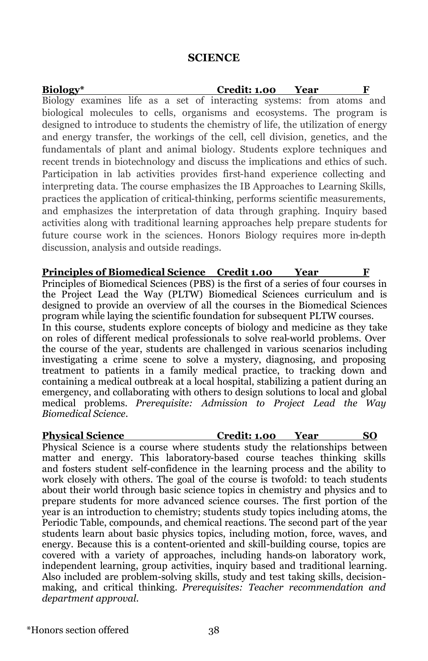#### **SCIENCE**

**Biology\* Credit: 1.00 Year F** Biology examines life as a set of interacting systems: from atoms and biological molecules to cells, organisms and ecosystems. The program is designed to introduce to students the chemistry of life, the utilization of energy and energy transfer, the workings of the cell, cell division, genetics, and the fundamentals of plant and animal biology. Students explore techniques and recent trends in biotechnology and discuss the implications and ethics of such. Participation in lab activities provides first-hand experience collecting and interpreting data. The course emphasizes the IB Approaches to Learning Skills, practices the application of critical-thinking, performs scientific measurements, and emphasizes the interpretation of data through graphing. Inquiry based activities along with traditional learning approaches help prepare students for future course work in the sciences. Honors Biology requires more in-depth discussion, analysis and outside readings.

**Principles of Biomedical Science Credit 1.00 Year F** Principles of Biomedical Sciences (PBS) is the first of a series of four courses in the Project Lead the Way (PLTW) Biomedical Sciences curriculum and is designed to provide an overview of all the courses in the Biomedical Sciences program while laying the scientific foundation for subsequent PLTW courses. In this course, students explore concepts of biology and medicine as they take on roles of different medical professionals to solve real-world problems. Over the course of the year, students are challenged in various scenarios including investigating a crime scene to solve a mystery, diagnosing, and proposing treatment to patients in a family medical practice, to tracking down and containing a medical outbreak at a local hospital, stabilizing a patient during an emergency, and collaborating with others to design solutions to local and global medical problems. *Prerequisite: Admission to Project Lead the Way Biomedical Science.*

**Physical Science Credit: 1.00 Year SO**  Physical Science is a course where students study the relationships between matter and energy. This laboratory-based course teaches thinking skills and fosters student self-confidence in the learning process and the ability to work closely with others. The goal of the course is twofold: to teach students about their world through basic science topics in chemistry and physics and to prepare students for more advanced science courses. The first portion of the year is an introduction to chemistry; students study topics including atoms, the Periodic Table, compounds, and chemical reactions. The second part of the year students learn about basic physics topics, including motion, force, waves, and energy. Because this is a content-oriented and skill-building course, topics are covered with a variety of approaches, including hands-on laboratory work, independent learning, group activities, inquiry based and traditional learning. Also included are problem-solving skills, study and test taking skills, decisionmaking, and critical thinking. *Prerequisites: Teacher recommendation and department approval.*

\*Honors section offered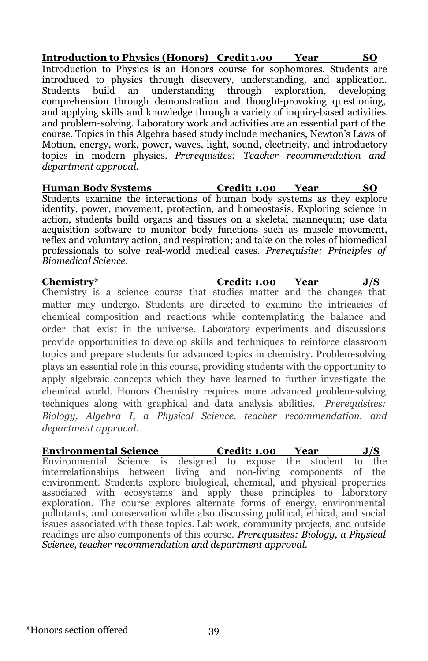**Introduction to Physics (Honors) Credit 1.00 Year SO**  Introduction to Physics is an Honors course for sophomores. Students are introduced to physics through discovery, understanding, and application. Students build an understanding through exploration, developing comprehension through demonstration and thought-provoking questioning, and applying skills and knowledge through a variety of inquiry-based activities and problem-solving. Laboratory work and activities are an essential part of the course. Topics in this Algebra based study include mechanics, Newton's Laws of Motion, energy, work, power, waves, light, sound, electricity, and introductory topics in modern physics. *Prerequisites: Teacher recommendation and department approval.*

**Human Body Systems Credit: 1.00 Year SO** Students examine the interactions of human body systems as they explore identity, power, movement, protection, and homeostasis. Exploring science in action, students build organs and tissues on a skeletal mannequin; use data acquisition software to monitor body functions such as muscle movement, reflex and voluntary action, and respiration; and take on the roles of biomedical professionals to solve real-world medical cases. *Prerequisite: Principles of Biomedical Science.*

**Chemistry\* Credit: 1.00 Year J/S**  Chemistry is a science course that studies matter and the changes that matter may undergo. Students are directed to examine the intricacies of chemical composition and reactions while contemplating the balance and order that exist in the universe. Laboratory experiments and discussions provide opportunities to develop skills and techniques to reinforce classroom topics and prepare students for advanced topics in chemistry. Problem-solving plays an essential role in this course, providing students with the opportunity to apply algebraic concepts which they have learned to further investigate the chemical world. Honors Chemistry requires more advanced problem-solving techniques along with graphical and data analysis abilities. *Prerequisites: Biology, Algebra I, a Physical Science, teacher recommendation, and department approval.*

**Environmental Science Credit: 1.00 Year J/S** Environmental Science is designed to expose the student to the interrelationships between living and non-living components of the environment. Students explore biological, chemical, and physical properties associated with ecosystems and apply these principles to laboratory exploration. The course explores alternate forms of energy, environmental pollutants, and conservation while also discussing political, ethical, and social issues associated with these topics. Lab work, community projects, and outside readings are also components of this course*. Prerequisites: Biology, a Physical Science, teacher recommendation and department approval.*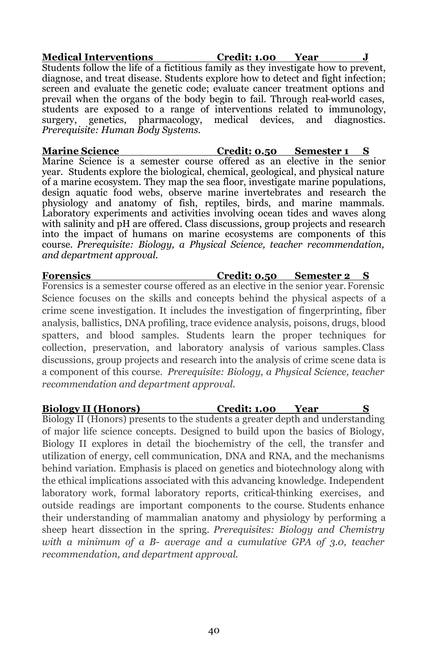**Medical Interventions Credit: 1.00 Year J** Students follow the life of a fictitious family as they investigate how to prevent, diagnose, and treat disease. Students explore how to detect and fight infection; screen and evaluate the genetic code; evaluate cancer treatment options and prevail when the organs of the body begin to fail. Through real-world cases, students are exposed to a range of interventions related to immunology, surgery, genetics, pharmacology, medical devices, and diagnostics. *Prerequisite: Human Body Systems.*

**Marine Science Credit: 0.50 Semester 1 S** Marine Science is a semester course offered as an elective in the senior year. Students explore the biological, chemical, geological, and physical nature of a marine ecosystem. They map the sea floor, investigate marine populations, design aquatic food webs, observe marine invertebrates and research the physiology and anatomy of fish, reptiles, birds, and marine mammals. Laboratory experiments and activities involving ocean tides and waves along with salinity and pH are offered. Class discussions, group projects and research into the impact of humans on marine ecosystems are components of this course. *Prerequisite: Biology, a Physical Science, teacher recommendation, and department approval.*

**Forensics Credit: 0.50 Semester 2 S**  Forensics is a semester course offered as an elective in the senior year.Forensic Science focuses on the skills and concepts behind the physical aspects of a crime scene investigation. It includes the investigation of fingerprinting, fiber analysis, ballistics, DNA profiling, trace evidence analysis, poisons, drugs, blood spatters, and blood samples. Students learn the proper techniques for collection, preservation, and laboratory analysis of various samples.Class discussions, group projects and research into the analysis of crime scene data is a component of this course. *Prerequisite: Biology, a Physical Science, teacher recommendation and department approval.*

#### **Biology II (Honors) Credit: 1.00 Year S**

Biology II (Honors) presents to the students a greater depth and understanding of major life science concepts. Designed to build upon the basics of Biology, Biology II explores in detail the biochemistry of the cell, the transfer and utilization of energy, cell communication, DNA and RNA, and the mechanisms behind variation. Emphasis is placed on genetics and biotechnology along with the ethical implications associated with this advancing knowledge. Independent laboratory work, formal laboratory reports, critical-thinking exercises, and outside readings are important components to the course. Students enhance their understanding of mammalian anatomy and physiology by performing a sheep heart dissection in the spring. *Prerequisites: Biology and Chemistry with a minimum of a B- average and a cumulative GPA of 3.0, teacher recommendation, and department approval.*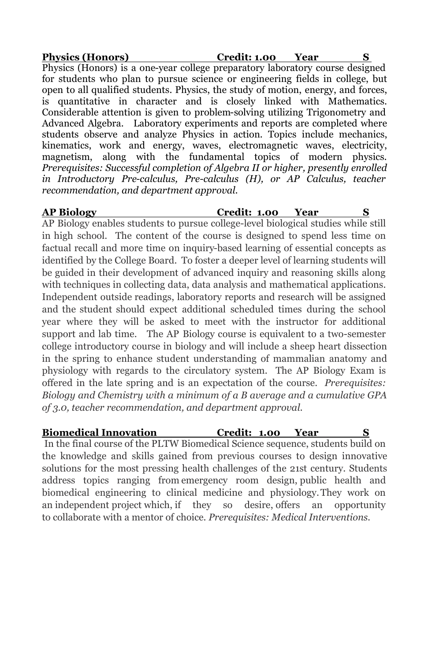**Physics (Honors) Credit: 1.00 Year S** Physics (Honors) is a one-year college preparatory laboratory course designed for students who plan to pursue science or engineering fields in college, but open to all qualified students. Physics, the study of motion, energy, and forces, is quantitative in character and is closely linked with Mathematics. Considerable attention is given to problem-solving utilizing Trigonometry and Advanced Algebra. Laboratory experiments and reports are completed where students observe and analyze Physics in action. Topics include mechanics, kinematics, work and energy, waves, electromagnetic waves, electricity, magnetism, along with the fundamental topics of modern physics. *Prerequisites: Successful completion of Algebra II or higher, presently enrolled in Introductory Pre-calculus, Pre-calculus (H), or AP Calculus, teacher recommendation, and department approval.*

**AP Biology Credit: 1.00 Year S** 

AP Biology enables students to pursue college-level biological studies while still in high school. The content of the course is designed to spend less time on factual recall and more time on inquiry-based learning of essential concepts as identified by the College Board. To foster a deeper level of learning students will be guided in their development of advanced inquiry and reasoning skills along with techniques in collecting data, data analysis and mathematical applications. Independent outside readings, laboratory reports and research will be assigned and the student should expect additional scheduled times during the school year where they will be asked to meet with the instructor for additional support and lab time. The AP Biology course is equivalent to a two-semester college introductory course in biology and will include a sheep heart dissection in the spring to enhance student understanding of mammalian anatomy and physiology with regards to the circulatory system. The AP Biology Exam is offered in the late spring and is an expectation of the course. *Prerequisites: Biology and Chemistry with a minimum of a B average and a cumulative GPA of 3.0, teacher recommendation, and department approval.*

### **Biomedical Innovation Credit:\_1.00 Year S**

In the final course of the PLTW Biomedical Science sequence, students build on the knowledge and skills gained from previous courses to design innovative solutions for the most pressing health challenges of the 21st century. Students address topics ranging from emergency room design, public health and biomedical engineering to clinical medicine and physiology.They work on an independent project which, if they so desire, offers an opportunity to collaborate with a mentor of choice. *Prerequisites: Medical Interventions.*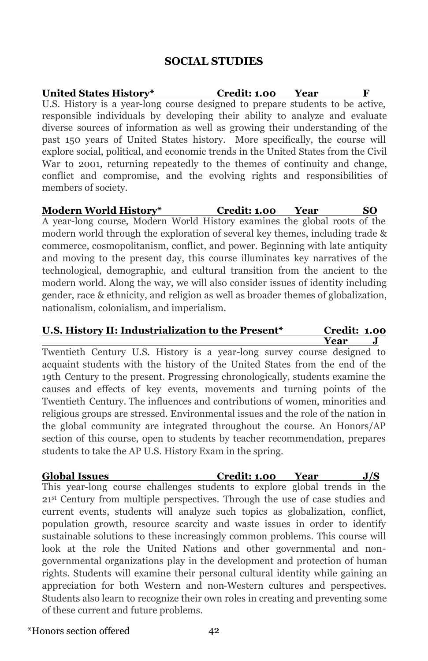### **SOCIAL STUDIES**

**United States History\* Credit: 1.00 Year F** U.S. History is a year-long course designed to prepare students to be active, responsible individuals by developing their ability to analyze and evaluate diverse sources of information as well as growing their understanding of the past 150 years of United States history. More specifically, the course will explore social, political, and economic trends in the United States from the Civil War to 2001, returning repeatedly to the themes of continuity and change, conflict and compromise, and the evolving rights and responsibilities of members of society.

**Modern World History\* Credit: 1.00 Year SO**  A year-long course, Modern World History examines the global roots of the modern world through the exploration of several key themes, including trade & commerce, cosmopolitanism, conflict, and power. Beginning with late antiquity and moving to the present day, this course illuminates key narratives of the technological, demographic, and cultural transition from the ancient to the modern world. Along the way, we will also consider issues of identity including gender, race & ethnicity, and religion as well as broader themes of globalization, nationalism, colonialism, and imperialism.

#### **U.S. History II: Industrialization to the Present\* Credit: 1.00 Year J**

Twentieth Century U.S. History is a year-long survey course designed to acquaint students with the history of the United States from the end of the 19th Century to the present. Progressing chronologically, students examine the causes and effects of key events, movements and turning points of the Twentieth Century. The influences and contributions of women, minorities and religious groups are stressed. Environmental issues and the role of the nation in the global community are integrated throughout the course. An Honors/AP section of this course, open to students by teacher recommendation, prepares students to take the AP U.S. History Exam in the spring.

**Global Issues Credit: 1.00 Year J/S**  This year-long course challenges students to explore global trends in the 21st Century from multiple perspectives. Through the use of case studies and current events, students will analyze such topics as globalization, conflict, population growth, resource scarcity and waste issues in order to identify sustainable solutions to these increasingly common problems. This course will look at the role the United Nations and other governmental and nongovernmental organizations play in the development and protection of human rights. Students will examine their personal cultural identity while gaining an appreciation for both Western and non-Western cultures and perspectives. Students also learn to recognize their own roles in creating and preventing some of these current and future problems.

\*Honors section offered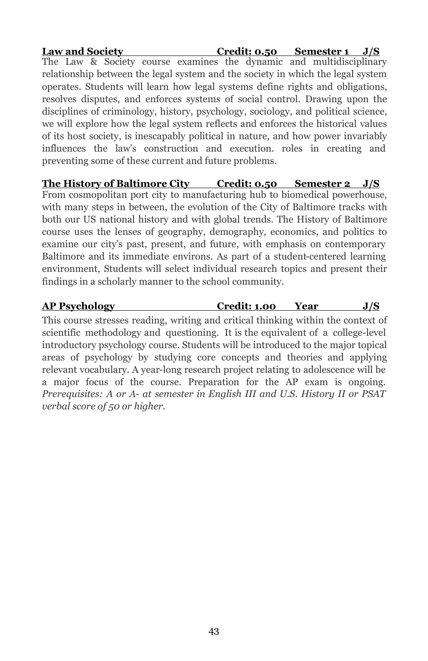**Law and Society Credit: 0.50 Semester 1 J/S**  The Law & Society course examines the dynamic and multidisciplinary relationship between the legal system and the society in which the legal system operates. Students will learn how legal systems define rights and obligations, resolves disputes, and enforces systems of social control. Drawing upon the disciplines of criminology, history, psychology, sociology, and political science, we will explore how the legal system reflects and enforces the historical values of its host society, is inescapably political in nature, and how power invariably influences the law's construction and execution. roles in creating and preventing some of these current and future problems.

**The History of Baltimore City Credit: 0.50 Semester 2 J/S**  From cosmopolitan port city to manufacturing hub to biomedical powerhouse, with many steps in between, the evolution of the City of Baltimore tracks with both our US national history and with global trends. The History of Baltimore course uses the lenses of geography, demography, economics, and politics to examine our city's past, present, and future, with emphasis on contemporary Baltimore and its immediate environs. As part of a student-centered learning environment, Students will select individual research topics and present their findings in a scholarly manner to the school community.

**AP Psychology Credit: 1.00 Year J/S** This course stresses reading, writing and critical thinking within the context of scientific methodology and questioning. It is the equivalent of a college-level introductory psychology course. Students will be introduced to the major topical areas of psychology by studying core concepts and theories and applying relevant vocabulary. A year-long research project relating to adolescence will be a major focus of the course. Preparation for the AP exam is ongoing. *Prerequisites: A or A- at semester in English III and U.S. History II or PSAT verbal score of 50 or higher.*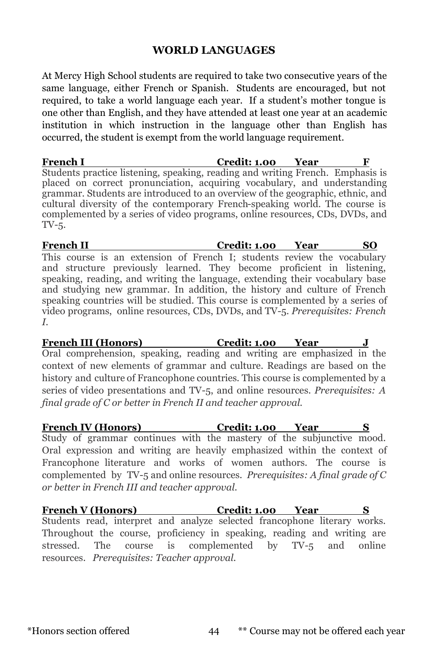### **WORLD LANGUAGES**

At Mercy High School students are required to take two consecutive years of the same language, either French or Spanish. Students are encouraged, but not required, to take a world language each year. If a student's mother tongue is one other than English, and they have attended at least one year at an academic institution in which instruction in the language other than English has occurred, the student is exempt from the world language requirement.

**French I Credit: 1.00 Year F** Students practice listening, speaking, reading and writing French. Emphasis is placed on correct pronunciation, acquiring vocabulary, and understanding grammar. Students are introduced to an overview of the geographic, ethnic, and cultural diversity of the contemporary French-speaking world. The course is complemented by a series of video programs, online resources, CDs, DVDs, and TV-5.

**French II Credit: 1.00 Year SO**  This course is an extension of French I; students review the vocabulary and structure previously learned. They become proficient in listening, speaking, reading, and writing the language, extending their vocabulary base and studying new grammar. In addition, the history and culture of French speaking countries will be studied. This course is complemented by a series of video programs, online resources, CDs, DVDs, and TV-5. *Prerequisites: French I.*

**French III (Honors) Credit: 1.00 Year J** Oral comprehension, speaking, reading and writing are emphasized in the context of new elements of grammar and culture. Readings are based on the history and culture of Francophone countries. This course is complemented by a series of video presentations and TV-5, and online resources. *Prerequisites: A final grade of C or better in French II and teacher approval.*

**French IV (Honors) Credit: 1.00 Year S** Study of grammar continues with the mastery of the subjunctive mood. Oral expression and writing are heavily emphasized within the context of Francophone literature and works of women authors. The course is complemented by TV-5 and online resources. *Prerequisites: A final grade of C or better in French III and teacher approval.*

**French V (Honors) Credit: 1.00 Year S** Students read, interpret and analyze selected francophone literary works. Throughout the course, proficiency in speaking, reading and writing are stressed. The course is complemented by TV-5 and online resources. *Prerequisites: Teacher approval.*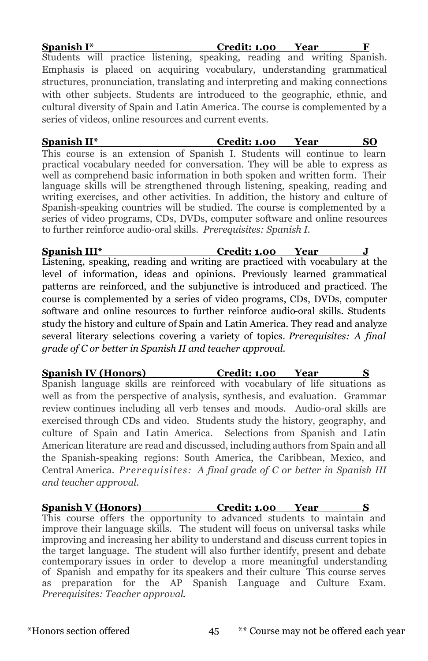| Spanish I*                                                                     | Credit: 1.00 Year |  |
|--------------------------------------------------------------------------------|-------------------|--|
| Students will practice listening, speaking, reading and writing Spanish.       |                   |  |
| Emphasis is placed on acquiring vocabulary, understanding grammatical          |                   |  |
| structures, pronunciation, translating and interpreting and making connections |                   |  |
| with other subjects. Students are introduced to the geographic, ethnic, and    |                   |  |
| cultural diversity of Spain and Latin America. The course is complemented by a |                   |  |
| series of videos, online resources and current events.                         |                   |  |

**Spanish II\* Credit: 1.00 Year SO**  This course is an extension of Spanish I. Students will continue to learn practical vocabulary needed for conversation. They will be able to express as well as comprehend basic information in both spoken and written form. Their language skills will be strengthened through listening, speaking, reading and writing exercises, and other activities. In addition, the history and culture of Spanish-speaking countries will be studied. The course is complemented by a series of video programs, CDs, DVDs, computer software and online resources to further reinforce audio-oral skills. *Prerequisites: Spanish I.*

**Spanish III\* Credit: 1.00 Year J** Listening, speaking, reading and writing are practiced with vocabulary at the level of information, ideas and opinions. Previously learned grammatical patterns are reinforced, and the subjunctive is introduced and practiced. The course is complemented by a series of video programs, CDs, DVDs, computer software and online resources to further reinforce audio-oral skills. Students study the history and culture of Spain and Latin America. They read and analyze several literary selections covering a variety of topics. *Prerequisites: A final grade of C or better in Spanish II and teacher approval.*

**Spanish IV (Honors) Credit: 1.00 Year S** Spanish language skills are reinforced with vocabulary of life situations as well as from the perspective of analysis, synthesis, and evaluation. Grammar review continues including all verb tenses and moods. Audio-oral skills are exercised through CDs and video. Students study the history, geography, and culture of Spain and Latin America. Selections from Spanish and Latin American literature are read and discussed, including authors from Spain and all the Spanish-speaking regions: South America, the Caribbean, Mexico, and Central America. *Prerequisites: A final grade of C or better in Spanish III and teacher approval.*

**Spanish V (Honors) Credit: 1.00 Year** This course offers the opportunity to advanced students to maintain and improve their language skills. The student will focus on universal tasks while improving and increasing her ability to understand and discuss current topics in the target language. The student will also further identify, present and debate contemporary issues in order to develop a more meaningful understanding of Spanish and empathy for its speakers and their culture This course serves as preparation for the AP Spanish Language and Culture Exam. *Prerequisites: Teacher approval*.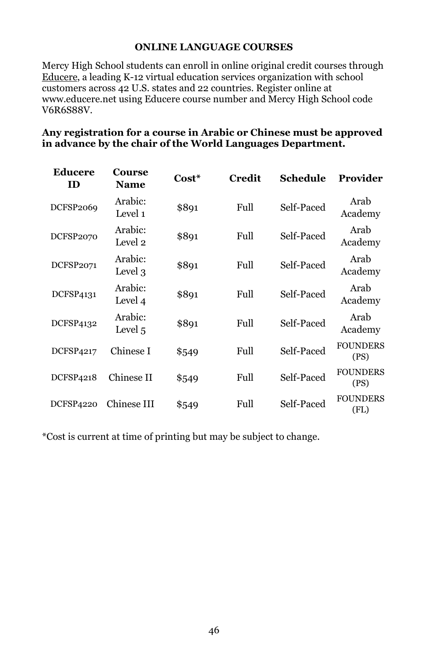#### **ONLINE LANGUAGE COURSES**

Mercy High School students can enroll in online original credit courses through Educere, a leading K-12 virtual education services organization with school customers across 42 U.S. states and 22 countries. Register online at [www.educere.net u](https://www.educere.net/)sing Educere course number and Mercy High School code V6R6S88V.

#### **Any registration for a course in Arabic or Chinese must be approved in advance by the chair of the World Languages Department.**

| Educere<br>ID    | <b>Course</b><br><b>Name</b> | Cost* | <b>Credit</b> | Schedule   | Provider                |
|------------------|------------------------------|-------|---------------|------------|-------------------------|
| <b>DCFSP2069</b> | Arabic:<br>Level 1           | \$891 | Full          | Self-Paced | Arab<br>Academy         |
| DCFSP2070        | Arabic:<br>Level 2           | \$891 | Full          | Self-Paced | Arab<br>Academy         |
| <b>DCFSP2071</b> | Arabic:<br>Level 3           | \$891 | Full          | Self-Paced | Arab<br>Academy         |
| DCFSP4131        | Arabic:<br>Level 4           | \$891 | Full          | Self-Paced | Arab<br>Academy         |
| DCFSP4132        | Arabic:<br>Level 5           | \$891 | Full          | Self-Paced | Arab<br>Academy         |
| <b>DCFSP4217</b> | Chinese I                    | \$549 | Full          | Self-Paced | <b>FOUNDERS</b><br>(PS) |
| <b>DCFSP4218</b> | Chinese II                   | \$549 | Full          | Self-Paced | <b>FOUNDERS</b><br>(PS) |
| <b>DCFSP4220</b> | Chinese III                  | \$549 | Full          | Self-Paced | <b>FOUNDERS</b><br>(FL) |

\*Cost is current at time of printing but may be subject to change.